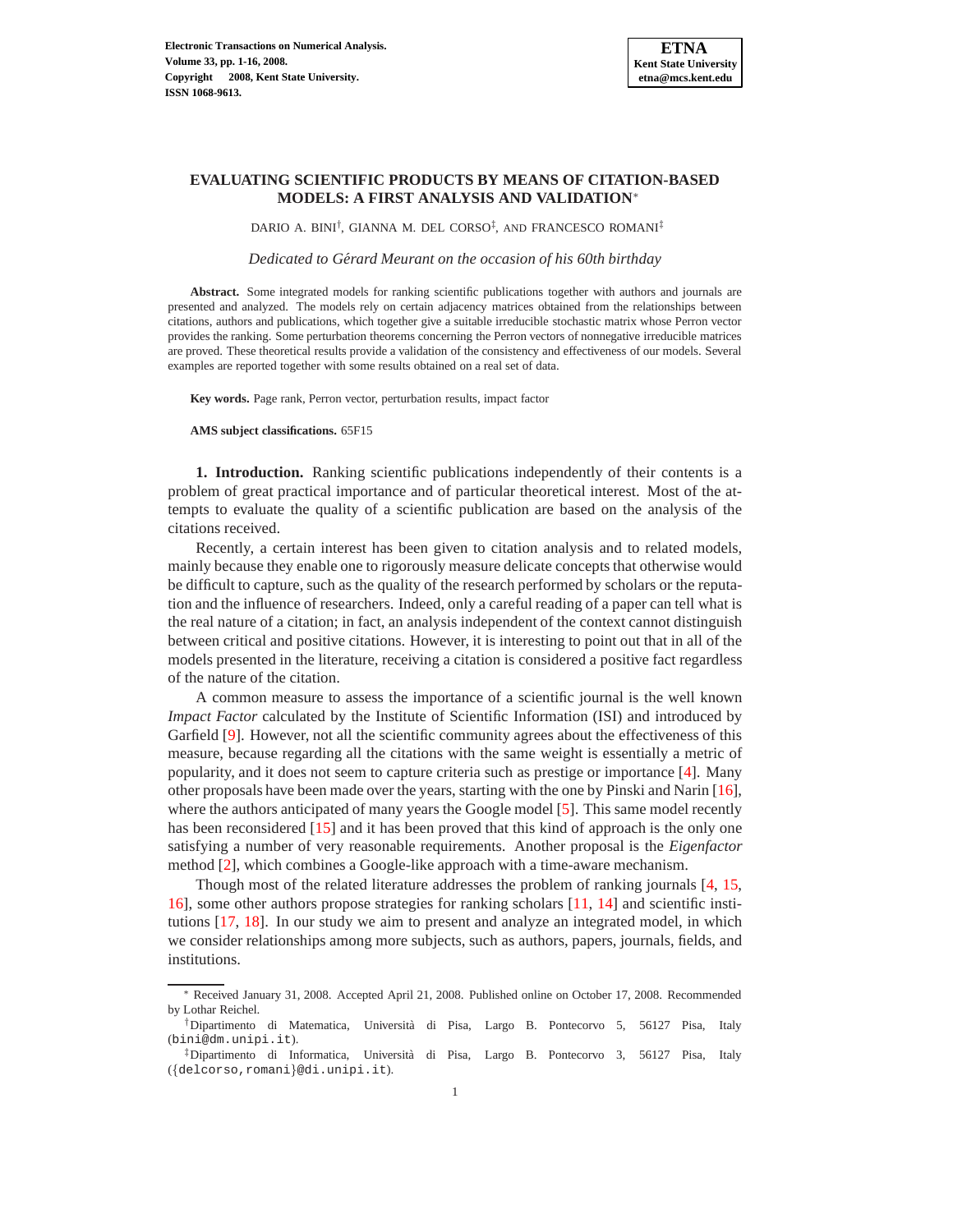# **EVALUATING SCIENTIFIC PRODUCTS BY MEANS OF CITATION-BASED MODELS: A FIRST ANALYSIS AND VALIDATION**<sup>∗</sup>

DARIO A. BINI† , GIANNA M. DEL CORSO‡ , AND FRANCESCO ROMANI‡

*Dedicated to Gerard Meurant on the occasion of his 60th birthday ´*

**Abstract.** Some integrated models for ranking scientific publications together with authors and journals are presented and analyzed. The models rely on certain adjacency matrices obtained from the relationships between citations, authors and publications, which together give a suitable irreducible stochastic matrix whose Perron vector provides the ranking. Some perturbation theorems concerning the Perron vectors of nonnegative irreducible matrices are proved. These theoretical results provide a validation of the consistency and effectiveness of our models. Several examples are reported together with some results obtained on a real set of data.

**Key words.** Page rank, Perron vector, perturbation results, impact factor

**AMS subject classifications.** 65F15

**1. Introduction.** Ranking scientific publications independently of their contents is a problem of great practical importance and of particular theoretical interest. Most of the attempts to evaluate the quality of a scientific publication are based on the analysis of the citations received.

Recently, a certain interest has been given to citation analysis and to related models, mainly because they enable one to rigorously measure delicate concepts that otherwise would be difficult to capture, such as the quality of the research performed by scholars or the reputation and the influence of researchers. Indeed, only a careful reading of a paper can tell what is the real nature of a citation; in fact, an analysis independent of the context cannot distinguish between critical and positive citations. However, it is interesting to point out that in all of the models presented in the literature, receiving a citation is considered a positive fact regardless of the nature of the citation.

A common measure to assess the importance of a scientific journal is the well known *Impact Factor* calculated by the Institute of Scientific Information (ISI) and introduced by Garfield [\[9\]](#page-15-0). However, not all the scientific community agrees about the effectiveness of this measure, because regarding all the citations with the same weight is essentially a metric of popularity, and it does not seem to capture criteria such as prestige or importance [\[4\]](#page-15-1). Many other proposals have been made over the years, starting with the one by Pinski and Narin [\[16\]](#page-15-2), where the authors anticipated of many years the Google model [\[5\]](#page-15-3). This same model recently has been reconsidered [\[15\]](#page-15-4) and it has been proved that this kind of approach is the only one satisfying a number of very reasonable requirements. Another proposal is the *Eigenfactor* method [\[2\]](#page-15-5), which combines a Google-like approach with a time-aware mechanism.

Though most of the related literature addresses the problem of ranking journals [\[4,](#page-15-1) [15,](#page-15-4) [16\]](#page-15-2), some other authors propose strategies for ranking scholars [\[11,](#page-15-6) [14\]](#page-15-7) and scientific institutions [\[17,](#page-15-8) [18\]](#page-15-9). In our study we aim to present and analyze an integrated model, in which we consider relationships among more subjects, such as authors, papers, journals, fields, and institutions.

<sup>∗</sup> Received January 31, 2008. Accepted April 21, 2008. Published online on October 17, 2008. Recommended by Lothar Reichel.

<sup>†</sup>Dipartimento di Matematica, Universit`a di Pisa, Largo B. Pontecorvo 5, 56127 Pisa, Italy (bini@dm.unipi.it).

 $\frac{1}{2}$ Dipartimento di Informatica, Università di Pisa, Largo B. Pontecorvo 3, 56127 Pisa, Italy ({delcorso,romani}@di.unipi.it).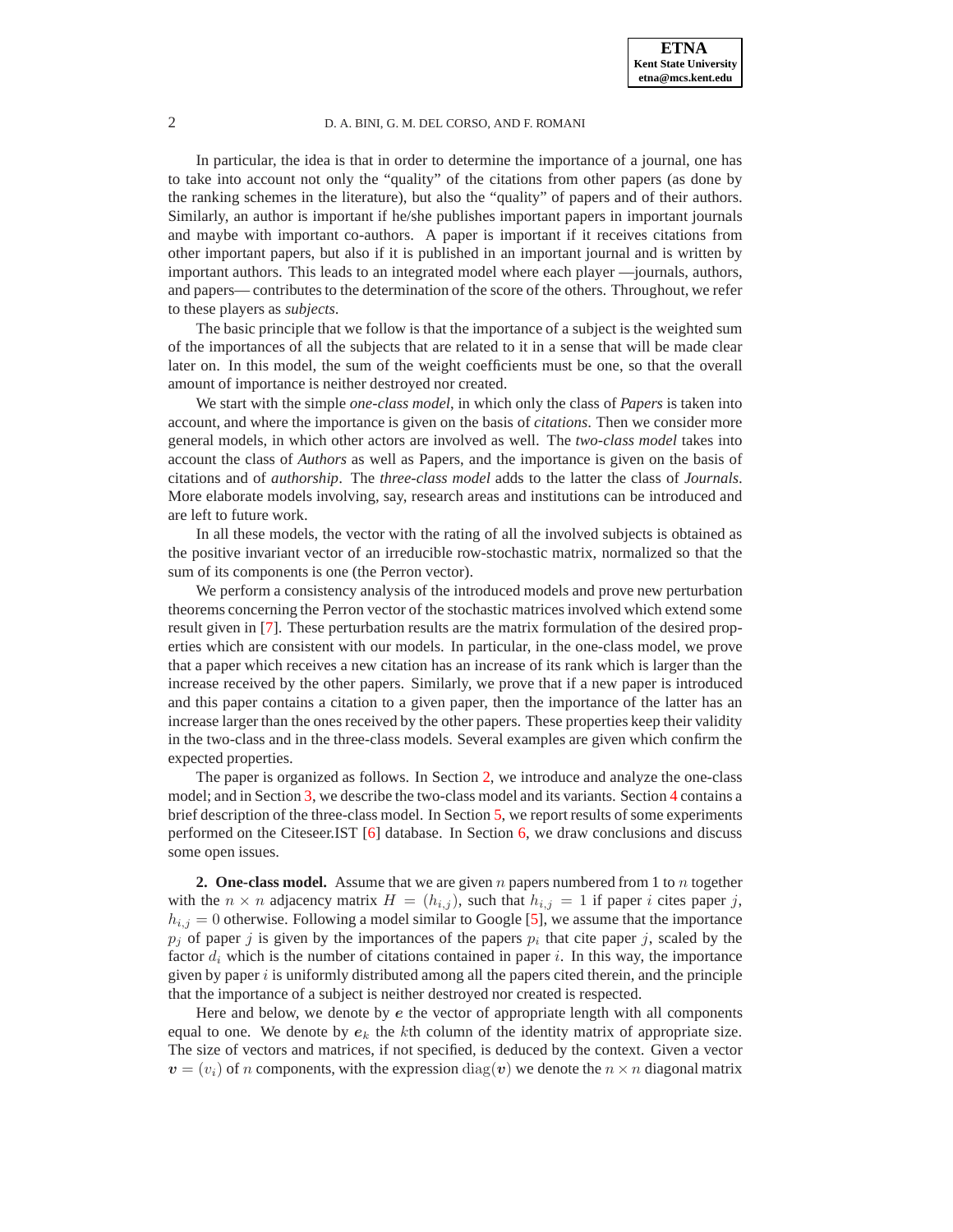In particular, the idea is that in order to determine the importance of a journal, one has to take into account not only the "quality" of the citations from other papers (as done by the ranking schemes in the literature), but also the "quality" of papers and of their authors. Similarly, an author is important if he/she publishes important papers in important journals and maybe with important co-authors. A paper is important if it receives citations from other important papers, but also if it is published in an important journal and is written by important authors. This leads to an integrated model where each player —journals, authors, and papers— contributes to the determination of the score of the others. Throughout, we refer to these players as *subjects*.

The basic principle that we follow is that the importance of a subject is the weighted sum of the importances of all the subjects that are related to it in a sense that will be made clear later on. In this model, the sum of the weight coefficients must be one, so that the overall amount of importance is neither destroyed nor created.

We start with the simple *one-class model*, in which only the class of *Papers* is taken into account, and where the importance is given on the basis of *citations*. Then we consider more general models, in which other actors are involved as well. The *two-class model* takes into account the class of *Authors* as well as Papers, and the importance is given on the basis of citations and of *authorship*. The *three-class model* adds to the latter the class of *Journals*. More elaborate models involving, say, research areas and institutions can be introduced and are left to future work.

In all these models, the vector with the rating of all the involved subjects is obtained as the positive invariant vector of an irreducible row-stochastic matrix, normalized so that the sum of its components is one (the Perron vector).

We perform a consistency analysis of the introduced models and prove new perturbation theorems concerning the Perron vector of the stochastic matrices involved which extend some result given in [\[7\]](#page-15-10). These perturbation results are the matrix formulation of the desired properties which are consistent with our models. In particular, in the one-class model, we prove that a paper which receives a new citation has an increase of its rank which is larger than the increase received by the other papers. Similarly, we prove that if a new paper is introduced and this paper contains a citation to a given paper, then the importance of the latter has an increase larger than the ones received by the other papers. These properties keep their validity in the two-class and in the three-class models. Several examples are given which confirm the expected properties.

The paper is organized as follows. In Section [2,](#page-1-0) we introduce and analyze the one-class model; and in Section [3,](#page-6-0) we describe the two-class model and its variants. Section [4](#page-12-0) contains a brief description of the three-class model. In Section [5,](#page-12-1) we report results of some experiments performed on the Citeseer.IST [\[6\]](#page-15-11) database. In Section [6,](#page-14-0) we draw conclusions and discuss some open issues.

<span id="page-1-0"></span>**2. One-class model.** Assume that we are given n papers numbered from 1 to n together with the  $n \times n$  adjacency matrix  $H = (h_{i,j})$ , such that  $h_{i,j} = 1$  if paper i cites paper j,  $h_{i,j} = 0$  otherwise. Following a model similar to Google [\[5\]](#page-15-3), we assume that the importance  $p_j$  of paper j is given by the importances of the papers  $p_i$  that cite paper j, scaled by the factor  $d_i$  which is the number of citations contained in paper i. In this way, the importance given by paper  $i$  is uniformly distributed among all the papers cited therein, and the principle that the importance of a subject is neither destroyed nor created is respected.

Here and below, we denote by e the vector of appropriate length with all components equal to one. We denote by  $e_k$  the kth column of the identity matrix of appropriate size. The size of vectors and matrices, if not specified, is deduced by the context. Given a vector  $v = (v_i)$  of n components, with the expression  $diag(v)$  we denote the  $n \times n$  diagonal matrix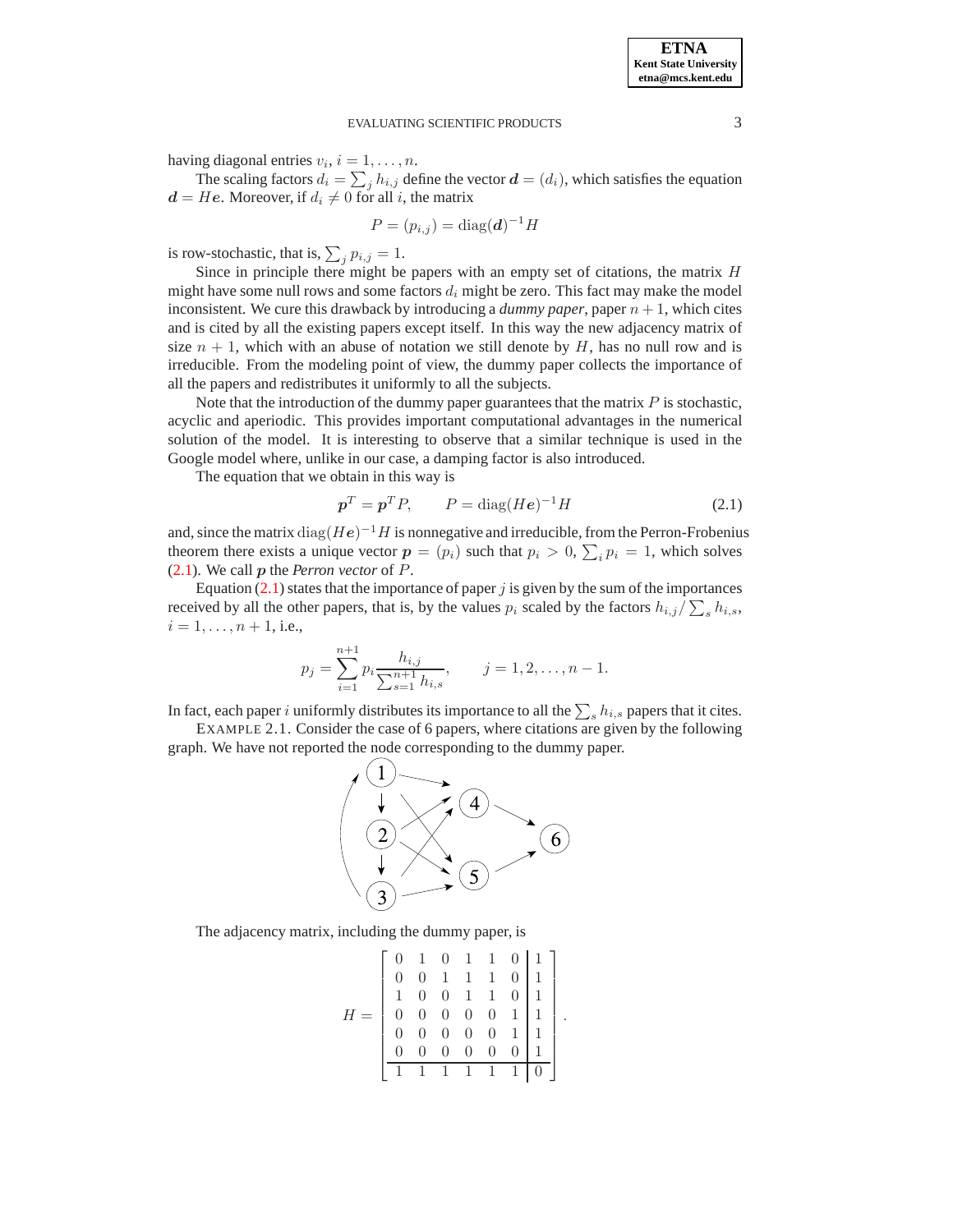having diagonal entries  $v_i$ ,  $i = 1, \ldots, n$ .

The scaling factors  $d_i = \sum_j h_{i,j}$  define the vector  $\boldsymbol{d} = (d_i)$ , which satisfies the equation  $d = He$ . Moreover, if  $d_i \neq 0$  for all i, the matrix

$$
P = (p_{i,j}) = \text{diag}(\boldsymbol{d})^{-1}H
$$

is row-stochastic, that is,  $\sum_j p_{i,j} = 1$ .

Since in principle there might be papers with an empty set of citations, the matrix H might have some null rows and some factors  $d_i$  might be zero. This fact may make the model inconsistent. We cure this drawback by introducing a *dummy paper*, paper  $n + 1$ , which cites and is cited by all the existing papers except itself. In this way the new adjacency matrix of size  $n + 1$ , which with an abuse of notation we still denote by H, has no null row and is irreducible. From the modeling point of view, the dummy paper collects the importance of all the papers and redistributes it uniformly to all the subjects.

Note that the introduction of the dummy paper guarantees that the matrix  $P$  is stochastic, acyclic and aperiodic. This provides important computational advantages in the numerical solution of the model. It is interesting to observe that a similar technique is used in the Google model where, unlike in our case, a damping factor is also introduced.

<span id="page-2-0"></span>The equation that we obtain in this way is

$$
\boldsymbol{p}^T = \boldsymbol{p}^T P, \qquad P = \text{diag}(He)^{-1} H \tag{2.1}
$$

and, since the matrix  $\text{diag}(He)^{-1}H$  is nonnegative and irreducible, from the Perron-Frobenius theorem there exists a unique vector  $p = (p_i)$  such that  $p_i > 0$ ,  $\sum_i p_i = 1$ , which solves [\(2.1\)](#page-2-0). We call p the *Perron vector* of P.

Equation  $(2.1)$  states that the importance of paper j is given by the sum of the importances received by all the other papers, that is, by the values  $p_i$  scaled by the factors  $h_{i,j}/\sum_s h_{i,s}$ ,  $i = 1, \ldots, n + 1$ , i.e.,

$$
p_j = \sum_{i=1}^{n+1} p_i \frac{h_{i,j}}{\sum_{s=1}^{n+1} h_{i,s}}, \qquad j = 1, 2, \dots, n-1.
$$

In fact, each paper i uniformly distributes its importance to all the  $\sum_s h_{i,s}$  papers that it cites.

<span id="page-2-1"></span>EXAMPLE 2.1. Consider the case of 6 papers, where citations are given by the following graph. We have not reported the node corresponding to the dummy paper.



The adjacency matrix, including the dummy paper, is

$$
H = \left[\begin{array}{cccc|c} 0 & 1 & 0 & 1 & 1 & 0 & 1 \\ 0 & 0 & 1 & 1 & 1 & 0 & 1 \\ 1 & 0 & 0 & 1 & 1 & 0 & 1 \\ 0 & 0 & 0 & 0 & 0 & 1 & 1 \\ 0 & 0 & 0 & 0 & 0 & 1 & 1 \\ 0 & 0 & 0 & 0 & 0 & 0 & 1 \\ \hline 1 & 1 & 1 & 1 & 1 & 1 & 0 \end{array}\right].
$$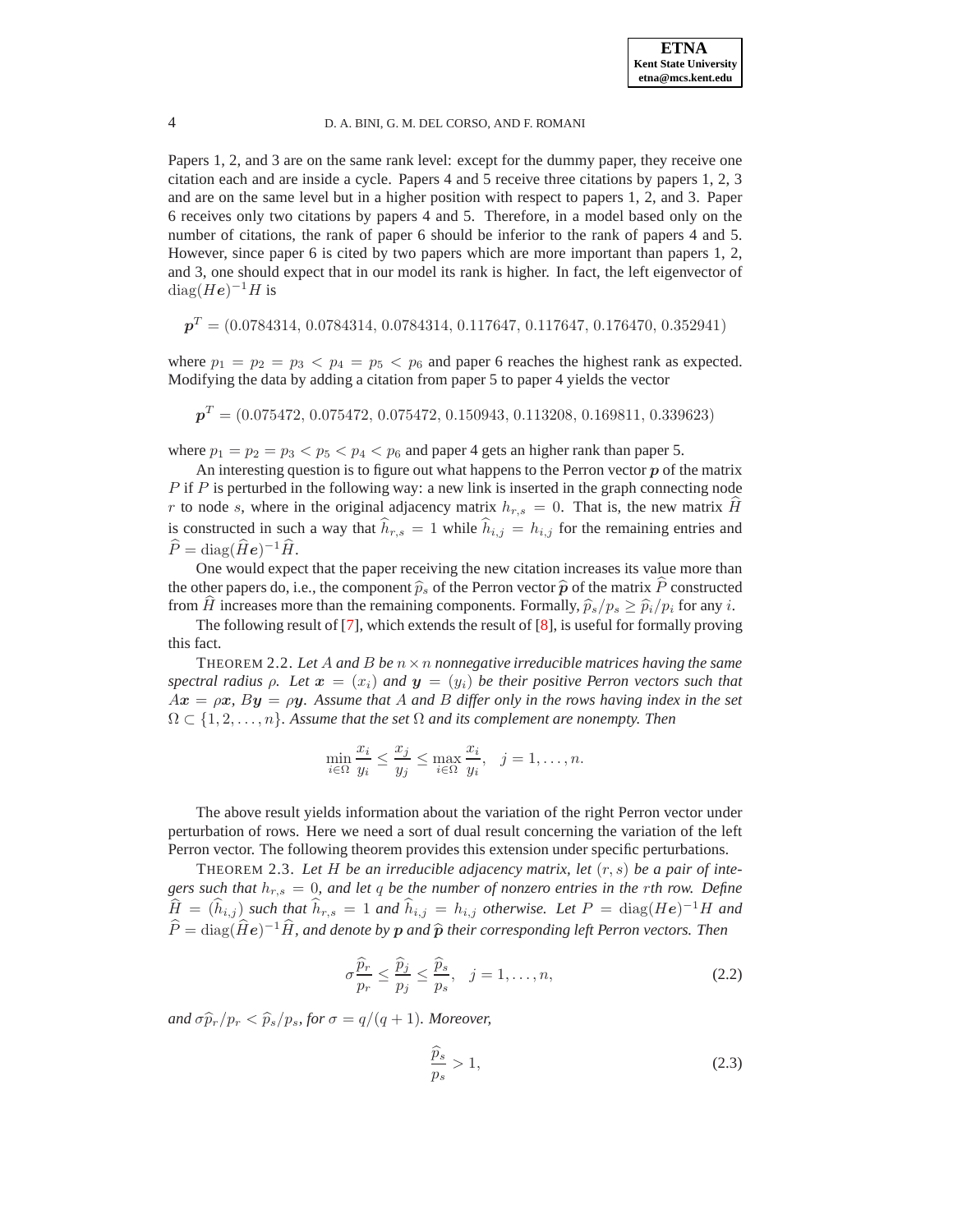Papers 1, 2, and 3 are on the same rank level: except for the dummy paper, they receive one citation each and are inside a cycle. Papers 4 and 5 receive three citations by papers 1, 2, 3 and are on the same level but in a higher position with respect to papers 1, 2, and 3. Paper 6 receives only two citations by papers 4 and 5. Therefore, in a model based only on the number of citations, the rank of paper 6 should be inferior to the rank of papers 4 and 5. However, since paper 6 is cited by two papers which are more important than papers 1, 2, and 3, one should expect that in our model its rank is higher. In fact, the left eigenvector of  $\text{diag}(He)^{-1}H$  is

$$
\boldsymbol{p}^T = (0.0784314, \, 0.0784314, \, 0.0784314, \, 0.117647, \, 0.117647, \, 0.176470, \, 0.352941)
$$

where  $p_1 = p_2 = p_3 < p_4 = p_5 < p_6$  and paper 6 reaches the highest rank as expected. Modifying the data by adding a citation from paper 5 to paper 4 yields the vector

 $\boldsymbol{p}^T = (0.075472,\,0.075472,\,0.075472,\,0.150943,\,0.113208,\,0.169811,\,0.339623)$ 

where  $p_1 = p_2 = p_3 < p_5 < p_4 < p_6$  and paper 4 gets an higher rank than paper 5.

An interesting question is to figure out what happens to the Perron vector  $\boldsymbol{p}$  of the matrix  $P$  if  $P$  is perturbed in the following way: a new link is inserted in the graph connecting node r to node s, where in the original adjacency matrix  $h_{r,s} = 0$ . That is, the new matrix H is constructed in such a way that  $\hat{h}_{r,s} = 1$  while  $\hat{h}_{i,j} = h_{i,j}$  for the remaining entries and  $\widehat{P} = \text{diag}(\widehat{H}\boldsymbol{e})^{-1}\widehat{H}.$ 

One would expect that the paper receiving the new citation increases its value more than the other papers do, i.e., the component  $\hat{p}_s$  of the Perron vector  $\hat{p}$  of the matrix P constructed from  $\hat{H}$  increases more than the remaining components. Formally,  $\hat{p}_s/p_s \ge \hat{p}_i/p_i$  for any i.

<span id="page-3-0"></span>The following result of [\[7\]](#page-15-10), which extends the result of [\[8\]](#page-15-12), is useful for formally proving this fact.

THEOREM 2.2. Let A and B be  $n \times n$  *nonnegative irreducible matrices having the same spectral radius*  $\rho$ . Let  $\mathbf{x} = (x_i)$  *and*  $\mathbf{y} = (y_i)$  be their positive Perron vectors such that  $Ax = \rho x$ ,  $By = \rho y$ . Assume that A and B differ only in the rows having index in the set  $\Omega \subset \{1, 2, \ldots, n\}$ . Assume that the set  $\Omega$  and its complement are nonempty. Then

$$
\min_{i \in \Omega} \frac{x_i}{y_i} \le \frac{x_j}{y_j} \le \max_{i \in \Omega} \frac{x_i}{y_i}, \quad j = 1, \dots, n.
$$

The above result yields information about the variation of the right Perron vector under perturbation of rows. Here we need a sort of dual result concerning the variation of the left Perron vector. The following theorem provides this extension under specific perturbations.

<span id="page-3-3"></span>THEOREM 2.3. Let  $H$  be an irreducible adjacency matrix, let  $(r, s)$  be a pair of inte*gers such that*  $h_{r,s} = 0$ *, and let q be the number of nonzero entries in the rth row. Define*  $\widehat{H} = (\widehat{h}_{i,j})$  *such that*  $\widehat{h}_{r,s} = 1$  *and*  $\widehat{h}_{i,j} = h_{i,j}$  *otherwise. Let*  $P = \text{diag}(He)^{-1}H$  *and*  $\widehat{P} = \text{diag}(\widehat{H}\boldsymbol{e})^{-1}\widehat{H}$ *, and denote by*  $\boldsymbol{p}$  *and*  $\widehat{\boldsymbol{p}}$  *their corresponding left Perron vectors. Then* 

<span id="page-3-2"></span>
$$
\sigma \frac{\widehat{p}_r}{p_r} \le \frac{\widehat{p}_j}{p_j} \le \frac{\widehat{p}_s}{p_s}, \quad j = 1, \dots, n,
$$
\n(2.2)

<span id="page-3-1"></span>*and*  $\sigma \widehat{p}_r / p_r < \widehat{p}_s / p_s$ , for  $\sigma = q/(q+1)$ *. Moreover,* 

$$
\frac{\widehat{p}_s}{p_s} > 1,\tag{2.3}
$$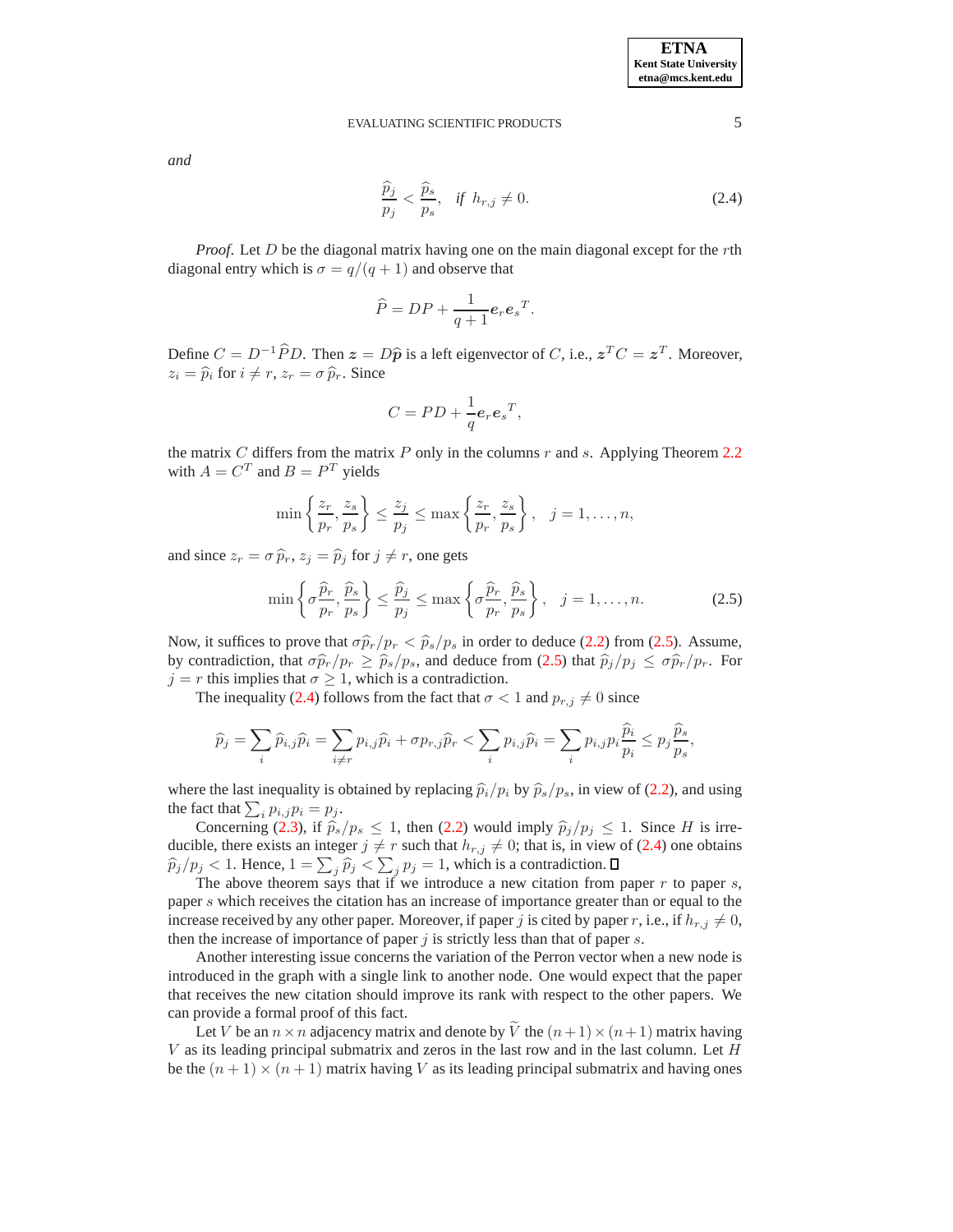<span id="page-4-1"></span>*and*

$$
\frac{\widehat{p}_j}{p_j} < \frac{\widehat{p}_s}{p_s}, \quad \text{if } h_{r,j} \neq 0. \tag{2.4}
$$

*Proof.* Let D be the diagonal matrix having one on the main diagonal except for the rth diagonal entry which is  $\sigma = q/(q+1)$  and observe that

$$
\widehat{P} = DP + \frac{1}{q+1}e_r e_s^T.
$$

Define  $C = D^{-1} \widehat{P} D$ . Then  $z = D\widehat{p}$  is a left eigenvector of C, i.e.,  $z^T C = z^T$ . Moreover,  $z_i = \hat{p}_i$  for  $i \neq r$ ,  $z_r = \sigma \hat{p}_r$ . Since

$$
C = PD + \frac{1}{q} \mathbf{e}_r \mathbf{e}_s^T,
$$

the matrix  $C$  differs from the matrix  $P$  only in the columns  $r$  and  $s$ . Applying Theorem [2.2](#page-3-0) with  $A = C^T$  and  $B = P^T$  yields

$$
\min\left\{\frac{z_r}{p_r},\frac{z_s}{p_s}\right\} \le \frac{z_j}{p_j} \le \max\left\{\frac{z_r}{p_r},\frac{z_s}{p_s}\right\}, \quad j=1,\ldots,n,
$$

<span id="page-4-0"></span>and since  $z_r = \sigma \hat{p}_r$ ,  $z_j = \hat{p}_j$  for  $j \neq r$ , one gets

$$
\min\left\{\sigma \frac{\widehat{p}_r}{p_r}, \frac{\widehat{p}_s}{p_s}\right\} \le \frac{\widehat{p}_j}{p_j} \le \max\left\{\sigma \frac{\widehat{p}_r}{p_r}, \frac{\widehat{p}_s}{p_s}\right\}, \quad j = 1, \dots, n. \tag{2.5}
$$

Now, it suffices to prove that  $\sigma \hat{p}_r/p_r < \hat{p}_s/p_s$  in order to deduce [\(2.2\)](#page-3-1) from [\(2.5\)](#page-4-0). Assume, by contradiction, that  $\sigma \hat{p}_r/p_r \geq \hat{p}_s/p_s$ , and deduce from [\(2.5\)](#page-4-0) that  $\hat{p}_j/p_j \leq \sigma \hat{p}_r/p_r$ . For  $j = r$  this implies that  $\sigma \geq 1$ , which is a contradiction.

The inequality [\(2.4\)](#page-4-1) follows from the fact that  $\sigma < 1$  and  $p_{r,j} \neq 0$  since

$$
\widehat{p}_j = \sum_i \widehat{p}_{i,j} \widehat{p}_i = \sum_{i \neq r} p_{i,j} \widehat{p}_i + \sigma p_{r,j} \widehat{p}_r < \sum_i p_{i,j} \widehat{p}_i = \sum_i p_{i,j} p_i \frac{\widehat{p}_i}{p_i} \le p_j \frac{\widehat{p}_s}{p_s},
$$

where the last inequality is obtained by replacing  $\hat{p}_i/p_i$  by  $\hat{p}_s/p_s$ , in view of [\(2.2\)](#page-3-1), and using the fact that  $\sum_i p_{i,j} p_i = p_j$ .

Concerning [\(2.3\)](#page-3-2), if  $\hat{p}_s/p_s \le 1$ , then [\(2.2\)](#page-3-1) would imply  $\hat{p}_j/p_j \le 1$ . Since H is irreducible, there exists an integer  $j \neq r$  such that  $h_{r,j} \neq 0$ ; that is, in view of [\(2.4\)](#page-4-1) one obtains  $\hat{p}_j/p_j < 1$ . Hence,  $1 = \sum_j \hat{p}_j < \sum_j p_j = 1$ , which is a contradiction.

The above theorem says that if we introduce a new citation from paper  $r$  to paper  $s$ , paper s which receives the citation has an increase of importance greater than or equal to the increase received by any other paper. Moreover, if paper j is cited by paper r, i.e., if  $h_{r,j} \neq 0$ , then the increase of importance of paper  $j$  is strictly less than that of paper  $s$ .

Another interesting issue concerns the variation of the Perron vector when a new node is introduced in the graph with a single link to another node. One would expect that the paper that receives the new citation should improve its rank with respect to the other papers. We can provide a formal proof of this fact.

Let V be an  $n \times n$  adjacency matrix and denote by  $\widetilde{V}$  the  $(n+1) \times (n+1)$  matrix having  $V$  as its leading principal submatrix and zeros in the last row and in the last column. Let  $H$ be the  $(n + 1) \times (n + 1)$  matrix having V as its leading principal submatrix and having ones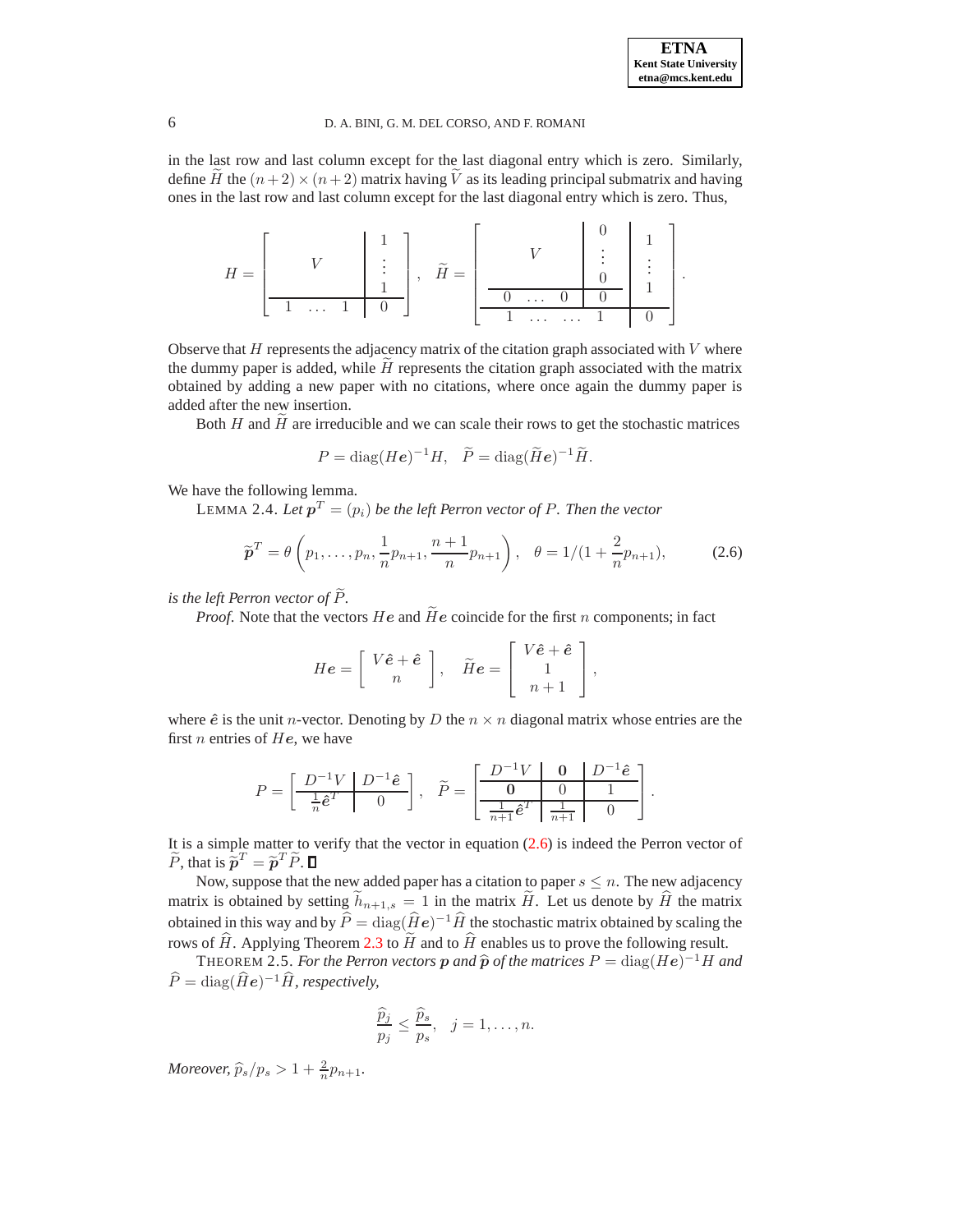in the last row and last column except for the last diagonal entry which is zero. Similarly, define H the  $(n+2) \times (n+2)$  matrix having V as its leading principal submatrix and having ones in the last row and last column except for the last diagonal entry which is zero. Thus,

| H<br>$\equiv$ |                      | $\widetilde{\phantom{m}}$<br>T T<br>$\hspace{1.6cm} = \hspace{1.6cm}$ |                      |  |  |
|---------------|----------------------|-----------------------------------------------------------------------|----------------------|--|--|
|               |                      |                                                                       | $\cdots$             |  |  |
|               | $\sim$ $\sim$ $\sim$ |                                                                       | $\cdots$<br>$\cdots$ |  |  |

Observe that  $H$  represents the adjacency matrix of the citation graph associated with  $V$  where the dummy paper is added, while  $H$  represents the citation graph associated with the matrix obtained by adding a new paper with no citations, where once again the dummy paper is added after the new insertion.

Both  $H$  and  $H$  are irreducible and we can scale their rows to get the stochastic matrices

$$
P = \text{diag}(He)^{-1}H, \quad \widetilde{P} = \text{diag}(\widetilde{H}e)^{-1}\widetilde{H}.
$$

<span id="page-5-0"></span>We have the following lemma.

<span id="page-5-1"></span>LEMMA 2.4. Let  $\boldsymbol{p}^T=(p_i)$  be the left Perron vector of  $P.$  Then the vector

$$
\widetilde{\boldsymbol{p}}^T = \theta \left( p_1, \dots, p_n, \frac{1}{n} p_{n+1}, \frac{n+1}{n} p_{n+1} \right), \quad \theta = 1/(1 + \frac{2}{n} p_{n+1}), \tag{2.6}
$$

*is the left Perron vector of*  $\widetilde{P}$ *.* 

*Proof.* Note that the vectors  $He$  and  $\tilde{He}$  coincide for the first n components; in fact

$$
He = \left[ \begin{array}{c} V\hat{e} + \hat{e} \\ n \end{array} \right], \quad \widetilde{H}e = \left[ \begin{array}{c} V\hat{e} + \hat{e} \\ 1 \\ n+1 \end{array} \right],
$$

where  $\hat{e}$  is the unit *n*-vector. Denoting by D the  $n \times n$  diagonal matrix whose entries are the first *n* entries of  $He$ , we have

$$
P = \left[\begin{array}{c|c} D^{-1}V & D^{-1}\hat{\boldsymbol{e}} \\ \hline \frac{1}{n}\hat{\boldsymbol{e}}^T & 0 \end{array}\right], \quad \widetilde{P} = \left[\begin{array}{c|c} D^{-1}V & \mathbf{0} & D^{-1}\hat{\boldsymbol{e}} \\ \hline \mathbf{0} & 0 & 1 \\ \hline \frac{1}{n+1}\hat{\boldsymbol{e}}^T & \frac{1}{n+1} & 0 \end{array}\right].
$$

It is a simple matter to verify that the vector in equation [\(2.6\)](#page-5-0) is indeed the Perron vector of  $\widetilde{P}$ , that is  $\widetilde{p}^T = \widetilde{p}^T \widetilde{P}$ .

Now, suppose that the new added paper has a citation to paper  $s \leq n$ . The new adjacency matrix is obtained by setting  $\bar{h}_{n+1,s} = 1$  in the matrix H. Let us denote by  $\hat{H}$  the matrix obtained in this way and by  $\widehat{P} = \text{diag}(\widehat{H}\boldsymbol{e})^{-1}\widehat{H}$  the stochastic matrix obtained by scaling the rows of  $\hat{H}$ . Applying Theorem [2.3](#page-3-3) to  $\tilde{H}$  and to  $\hat{H}$  enables us to prove the following result.

<span id="page-5-2"></span>THEOREM 2.5. *For the Perron vectors*  $p$  *and*  $\hat{p}$  *of the matrices*  $P = \text{diag}(He)^{-1}H$  *and*  $\widehat{P} = \text{diag}(\widehat{H}\boldsymbol{e})^{-1}\widehat{H}$ *, respectively,* 

$$
\frac{\widehat{p}_j}{p_j} \le \frac{\widehat{p}_s}{p_s}, \quad j = 1, \dots, n.
$$

*Moreover,*  $\widehat{p}_s/p_s > 1 + \frac{2}{n}p_{n+1}$ .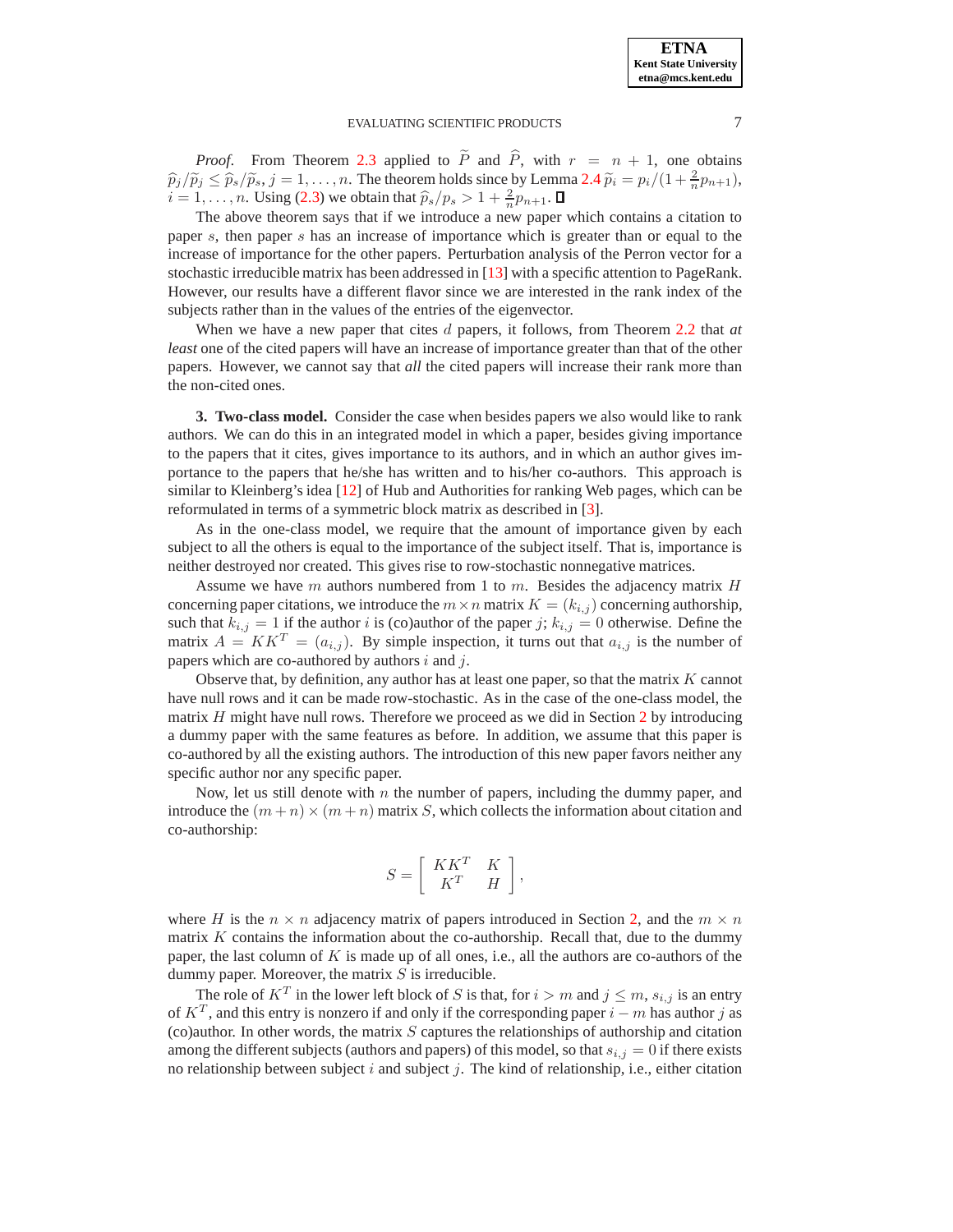

*Proof.* From Theorem [2.3](#page-3-3) applied to  $\tilde{P}$  and  $\hat{P}$ , with  $r = n + 1$ , one obtains  $\widehat{p}_j/\widetilde{p}_j \leq \widehat{p}_s/\widetilde{p}_s, j = 1, \ldots, n$ . The theorem holds since by Lemma [2.4](#page-5-1)  $\widetilde{p}_i = p_i/(1 + \frac{2}{n}p_{n+1}),$  $i = 1, \ldots, n$ . Using [\(2.3\)](#page-3-2) we obtain that  $\hat{p}_s/p_s > 1 + \frac{2}{n}p_{n+1}$ .

The above theorem says that if we introduce a new paper which contains a citation to paper s, then paper s has an increase of importance which is greater than or equal to the increase of importance for the other papers. Perturbation analysis of the Perron vector for a stochastic irreducible matrix has been addressed in [\[13\]](#page-15-13) with a specific attention to PageRank. However, our results have a different flavor since we are interested in the rank index of the subjects rather than in the values of the entries of the eigenvector.

When we have a new paper that cites d papers, it follows, from Theorem [2.2](#page-3-0) that *at least* one of the cited papers will have an increase of importance greater than that of the other papers. However, we cannot say that *all* the cited papers will increase their rank more than the non-cited ones.

<span id="page-6-0"></span>**3. Two-class model.** Consider the case when besides papers we also would like to rank authors. We can do this in an integrated model in which a paper, besides giving importance to the papers that it cites, gives importance to its authors, and in which an author gives importance to the papers that he/she has written and to his/her co-authors. This approach is similar to Kleinberg's idea [\[12\]](#page-15-14) of Hub and Authorities for ranking Web pages, which can be reformulated in terms of a symmetric block matrix as described in [\[3\]](#page-15-15).

As in the one-class model, we require that the amount of importance given by each subject to all the others is equal to the importance of the subject itself. That is, importance is neither destroyed nor created. This gives rise to row-stochastic nonnegative matrices.

Assume we have m authors numbered from 1 to m. Besides the adjacency matrix  $H$ concerning paper citations, we introduce the  $m \times n$  matrix  $K = (k_{i,j})$  concerning authorship, such that  $k_{i,j} = 1$  if the author i is (co)author of the paper j;  $k_{i,j} = 0$  otherwise. Define the matrix  $A = KK^T = (a_{i,j})$ . By simple inspection, it turns out that  $a_{i,j}$  is the number of papers which are co-authored by authors  $i$  and  $j$ .

Observe that, by definition, any author has at least one paper, so that the matrix  $K$  cannot have null rows and it can be made row-stochastic. As in the case of the one-class model, the matrix  $H$  might have null rows. Therefore we proceed as we did in Section [2](#page-1-0) by introducing a dummy paper with the same features as before. In addition, we assume that this paper is co-authored by all the existing authors. The introduction of this new paper favors neither any specific author nor any specific paper.

Now, let us still denote with  $n$  the number of papers, including the dummy paper, and introduce the  $(m+n) \times (m+n)$  matrix S, which collects the information about citation and co-authorship:

$$
S=\left[\begin{array}{cc}KK^T & K\\ K^T & H\end{array}\right],
$$

where H is the  $n \times n$  adjacency matrix of papers introduced in Section [2,](#page-1-0) and the  $m \times n$ matrix  $K$  contains the information about the co-authorship. Recall that, due to the dummy paper, the last column of  $K$  is made up of all ones, i.e., all the authors are co-authors of the dummy paper. Moreover, the matrix  $S$  is irreducible.

The role of  $K^T$  in the lower left block of S is that, for  $i > m$  and  $j \leq m$ ,  $s_{i,j}$  is an entry of  $K^T$ , and this entry is nonzero if and only if the corresponding paper  $i - m$  has author j as (co)author. In other words, the matrix  $S$  captures the relationships of authorship and citation among the different subjects (authors and papers) of this model, so that  $s_{i,j} = 0$  if there exists no relationship between subject  $i$  and subject  $j$ . The kind of relationship, i.e., either citation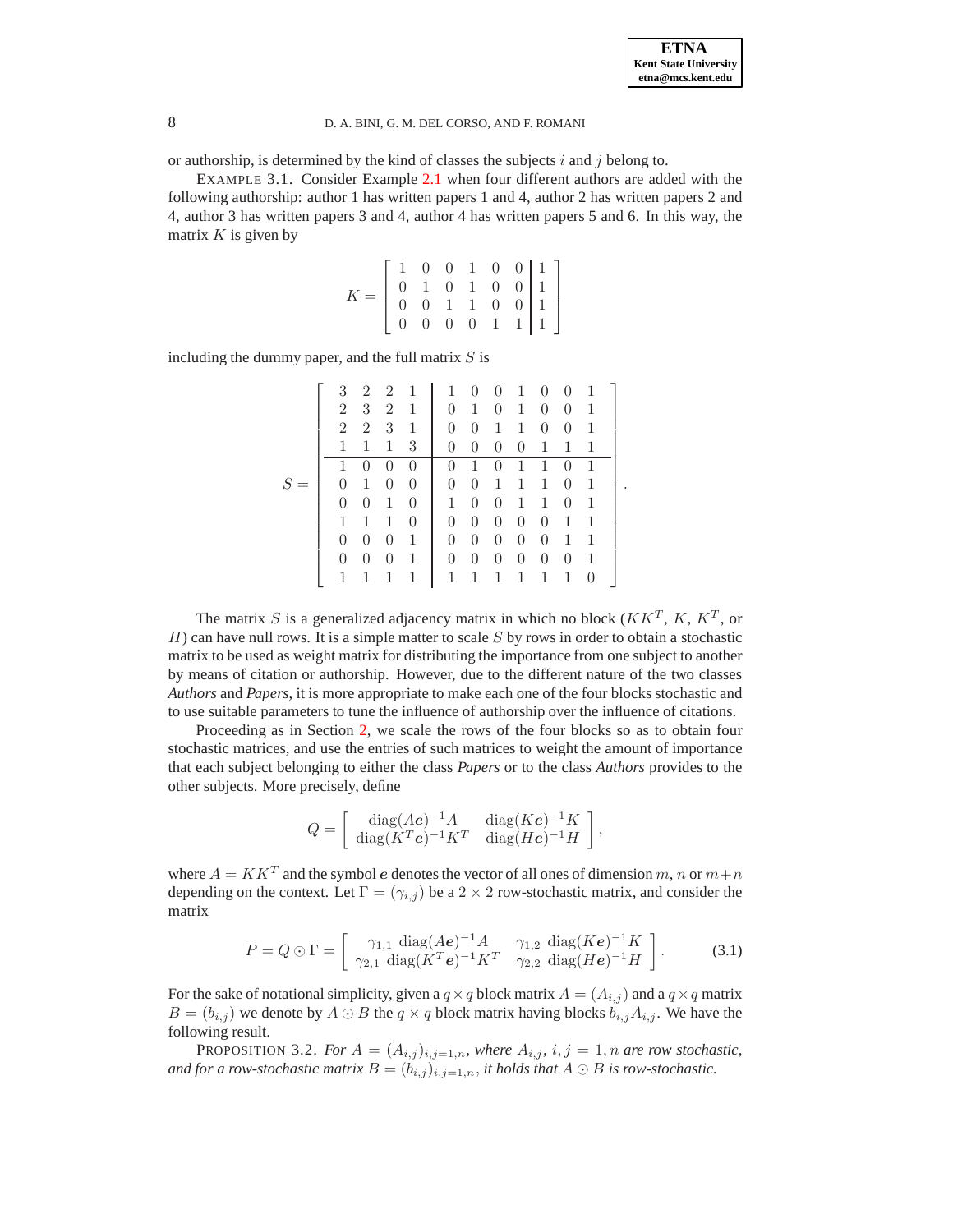<span id="page-7-1"></span>or authorship, is determined by the kind of classes the subjects  $i$  and  $j$  belong to.

EXAMPLE 3.1. Consider Example [2.1](#page-2-1) when four different authors are added with the following authorship: author 1 has written papers 1 and 4, author 2 has written papers 2 and 4, author 3 has written papers 3 and 4, author 4 has written papers 5 and 6. In this way, the matrix  $K$  is given by

$$
K = \left[ \begin{array}{cccccc} 1 & 0 & 0 & 1 & 0 & 0 & 1 \\ 0 & 1 & 0 & 1 & 0 & 0 & 1 \\ 0 & 0 & 1 & 1 & 0 & 0 & 1 \\ 0 & 0 & 0 & 0 & 1 & 1 & 1 \end{array} \right]
$$

including the dummy paper, and the full matrix  $S$  is

|              | 3              | $\overline{2}$   | $\overline{2}$ | -1 | $\mathbf{1}$   | $\theta$       | $\overline{0}$ | $\mathbf{1}$   | $\theta$       | $\Omega$ | 1 |  |
|--------------|----------------|------------------|----------------|----|----------------|----------------|----------------|----------------|----------------|----------|---|--|
|              | $\overline{2}$ | 3                | 2              | 1  | $\Omega$       | 1              | $\theta$       | 1              | $\theta$       | $\theta$ | 1 |  |
|              | $\overline{2}$ | $\overline{2}$   | 3              | 1  | $\Omega$       | $\theta$       | 1              | 1              | $\theta$       | $\theta$ | 1 |  |
|              | 1              | 1                | $\mathbf{1}$   | 3  | $\overline{0}$ | $\overline{0}$ | $\theta$       | $\theta$       | 1              | 1        | 1 |  |
|              |                |                  |                |    | $\theta$       | 1              | $\Omega$       | 1              | 1              |          |   |  |
| $S^-$<br>$=$ | $\theta$       | 1                | $\theta$       | 0  | $\Omega$       | $\theta$       | 1              | 1              | $\mathbf{1}$   | $\theta$ | 1 |  |
|              | $\theta$       | $\boldsymbol{0}$ | 1              | 0  | 1              | $\theta$       | $\theta$       | 1              | $\mathbf{1}$   | $\theta$ | 1 |  |
|              | 1              | 1                | 1              | 0  | $\theta$       | $\theta$       | $\theta$       | $\overline{0}$ | $\theta$       | 1        | 1 |  |
|              | $\overline{0}$ | $\theta$         | $\theta$       | 1  | $\Omega$       | $\theta$       | $\theta$       | $\overline{0}$ | $\overline{0}$ | 1        | 1 |  |
|              | $\theta$       | $\theta$         | 0              | 1  | $\overline{0}$ | $\theta$       | $\theta$       | $\theta$       | $\theta$       | $\theta$ | 1 |  |
|              |                |                  |                |    | 1              |                | 1              | 1              | 1              | 1        |   |  |

The matrix S is a generalized adjacency matrix in which no block  $(KK^T, K, K^T)$ , or  $H$ ) can have null rows. It is a simple matter to scale  $S$  by rows in order to obtain a stochastic matrix to be used as weight matrix for distributing the importance from one subject to another by means of citation or authorship. However, due to the different nature of the two classes *Authors* and *Papers*, it is more appropriate to make each one of the four blocks stochastic and to use suitable parameters to tune the influence of authorship over the influence of citations.

Proceeding as in Section [2,](#page-1-0) we scale the rows of the four blocks so as to obtain four stochastic matrices, and use the entries of such matrices to weight the amount of importance that each subject belonging to either the class *Papers* or to the class *Authors* provides to the other subjects. More precisely, define

$$
Q = \begin{bmatrix} \text{diag}(A\boldsymbol{e})^{-1}A & \text{diag}(K\boldsymbol{e})^{-1}K \\ \text{diag}(K^T\boldsymbol{e})^{-1}K^T & \text{diag}(H\boldsymbol{e})^{-1}H \end{bmatrix},
$$

<span id="page-7-0"></span>where  $A = K K^T$  and the symbol e denotes the vector of all ones of dimension m, n or  $m+n$ depending on the context. Let  $\Gamma = (\gamma_{i,j})$  be a 2 × 2 row-stochastic matrix, and consider the matrix

$$
P = Q \odot \Gamma = \begin{bmatrix} \gamma_{1,1} \text{ diag}(Ae)^{-1} A & \gamma_{1,2} \text{ diag}(Ke)^{-1} K \\ \gamma_{2,1} \text{ diag}(K^T e)^{-1} K^T & \gamma_{2,2} \text{ diag}(He)^{-1} H \end{bmatrix}.
$$
 (3.1)

For the sake of notational simplicity, given a  $q \times q$  block matrix  $A = (A_{i,j})$  and a  $q \times q$  matrix  $B = (b_{i,j})$  we denote by  $A \odot B$  the  $q \times q$  block matrix having blocks  $b_{i,j}A_{i,j}$ . We have the following result.

PROPOSITION 3.2. *For*  $A = (A_{i,j})_{i,j=1,n}$ , where  $A_{i,j}$ ,  $i, j = 1, n$  are row stochastic, *and for a row-stochastic matrix*  $B = (b_{i,j})_{i,j=1,n}$ , *it holds that*  $A \odot B$  *is row-stochastic.*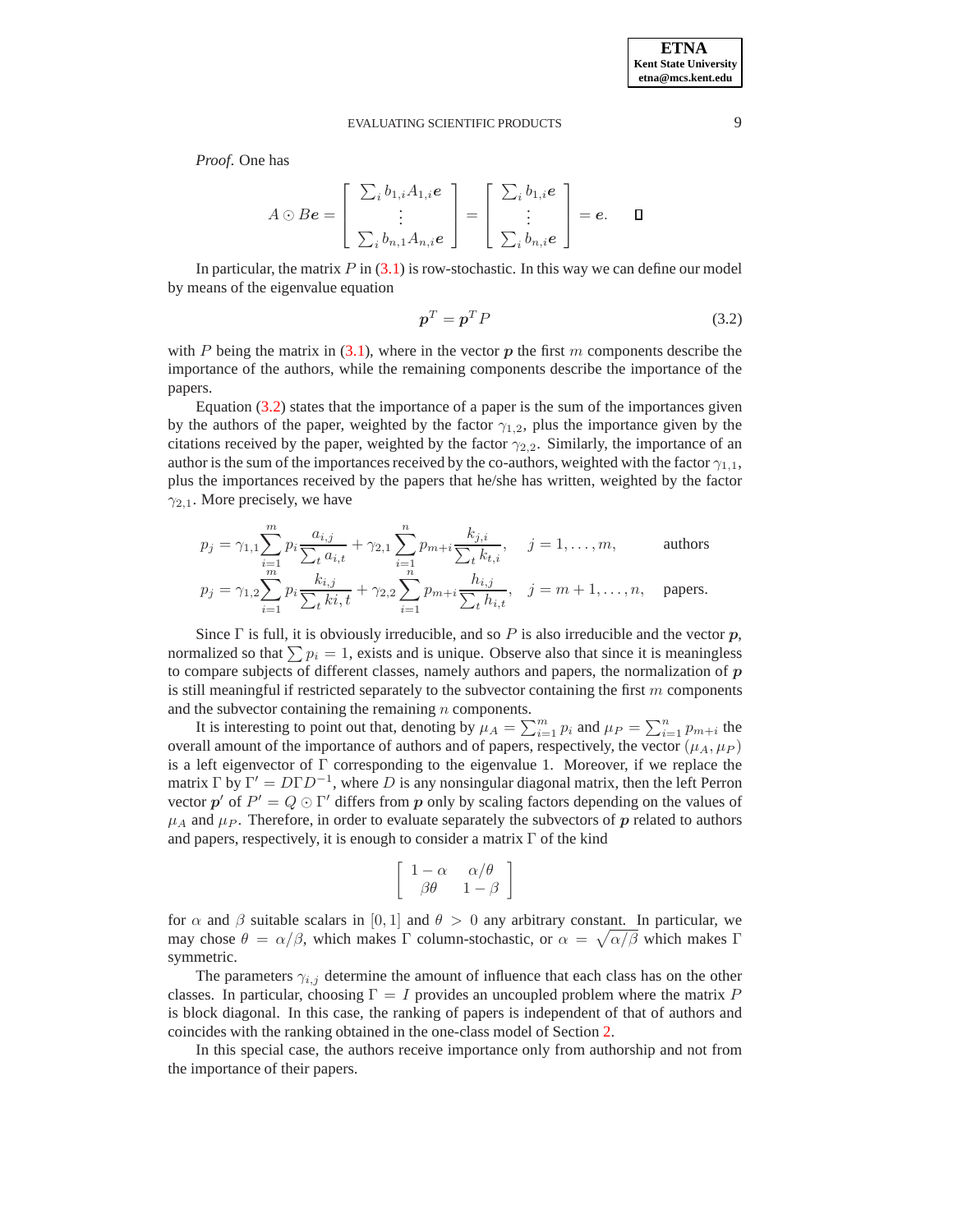*Proof*. One has

$$
A \odot B\boldsymbol{e} = \begin{bmatrix} \sum_i b_{1,i} A_{1,i} \boldsymbol{e} \\ \vdots \\ \sum_i b_{n,1} A_{n,i} \boldsymbol{e} \end{bmatrix} = \begin{bmatrix} \sum_i b_{1,i} \boldsymbol{e} \\ \vdots \\ \sum_i b_{n,i} \boldsymbol{e} \end{bmatrix} = \boldsymbol{e}. \quad \blacksquare
$$

In particular, the matrix  $P$  in [\(3.1\)](#page-7-0) is row-stochastic. In this way we can define our model by means of the eigenvalue equation

<span id="page-8-0"></span>
$$
p^T = p^T P \tag{3.2}
$$

with P being the matrix in [\(3.1\)](#page-7-0), where in the vector p the first m components describe the importance of the authors, while the remaining components describe the importance of the papers.

Equation [\(3.2\)](#page-8-0) states that the importance of a paper is the sum of the importances given by the authors of the paper, weighted by the factor  $\gamma_{1,2}$ , plus the importance given by the citations received by the paper, weighted by the factor  $\gamma_{2,2}$ . Similarly, the importance of an author is the sum of the importances received by the co-authors, weighted with the factor  $\gamma_{1,1}$ , plus the importances received by the papers that he/she has written, weighted by the factor  $\gamma_{2,1}$ . More precisely, we have

$$
p_j = \gamma_{1,1} \sum_{i=1}^m p_i \frac{a_{i,j}}{\sum_{t} a_{i,t}} + \gamma_{2,1} \sum_{i=1}^n p_{m+i} \frac{k_{j,i}}{\sum_{t} k_{t,i}}, \quad j = 1, ..., m,
$$
 authors  

$$
p_j = \gamma_{1,2} \sum_{i=1}^m p_i \frac{k_{i,j}}{\sum_{t} k_{t,i}} + \gamma_{2,2} \sum_{i=1}^n p_{m+i} \frac{h_{i,j}}{\sum_{t} h_{i,t}}, \quad j = m+1, ..., n, \quad \text{ papers.}
$$

Since  $\Gamma$  is full, it is obviously irreducible, and so P is also irreducible and the vector p, normalized so that  $\sum p_i = 1$ , exists and is unique. Observe also that since it is meaningless to compare subjects of different classes, namely authors and papers, the normalization of  $p$ is still meaningful if restricted separately to the subvector containing the first  $m$  components and the subvector containing the remaining  $n$  components.

It is interesting to point out that, denoting by  $\mu_A = \sum_{i=1}^m p_i$  and  $\mu_P = \sum_{i=1}^n p_{m+i}$  the overall amount of the importance of authors and of papers, respectively, the vector ( $\mu_A, \mu_P$ ) is a left eigenvector of  $\Gamma$  corresponding to the eigenvalue 1. Moreover, if we replace the matrix  $\Gamma$  by  $\Gamma' = D\Gamma D^{-1}$ , where D is any nonsingular diagonal matrix, then the left Perron vector  $p'$  of  $P' = Q \odot \Gamma'$  differs from p only by scaling factors depending on the values of  $\mu_A$  and  $\mu_P$ . Therefore, in order to evaluate separately the subvectors of p related to authors and papers, respectively, it is enough to consider a matrix Γ of the kind

$$
\left[\begin{array}{cc} 1-\alpha & \alpha/\theta \\ \beta\theta & 1-\beta \end{array}\right]
$$

for  $\alpha$  and  $\beta$  suitable scalars in [0, 1] and  $\theta > 0$  any arbitrary constant. In particular, we may chose  $\theta = \alpha/\beta$ , which makes Γ column-stochastic, or  $\alpha = \sqrt{\alpha/\beta}$  which makes Γ symmetric.

The parameters  $\gamma_{i,j}$  determine the amount of influence that each class has on the other classes. In particular, choosing  $\Gamma = I$  provides an uncoupled problem where the matrix P is block diagonal. In this case, the ranking of papers is independent of that of authors and coincides with the ranking obtained in the one-class model of Section [2.](#page-1-0)

In this special case, the authors receive importance only from authorship and not from the importance of their papers.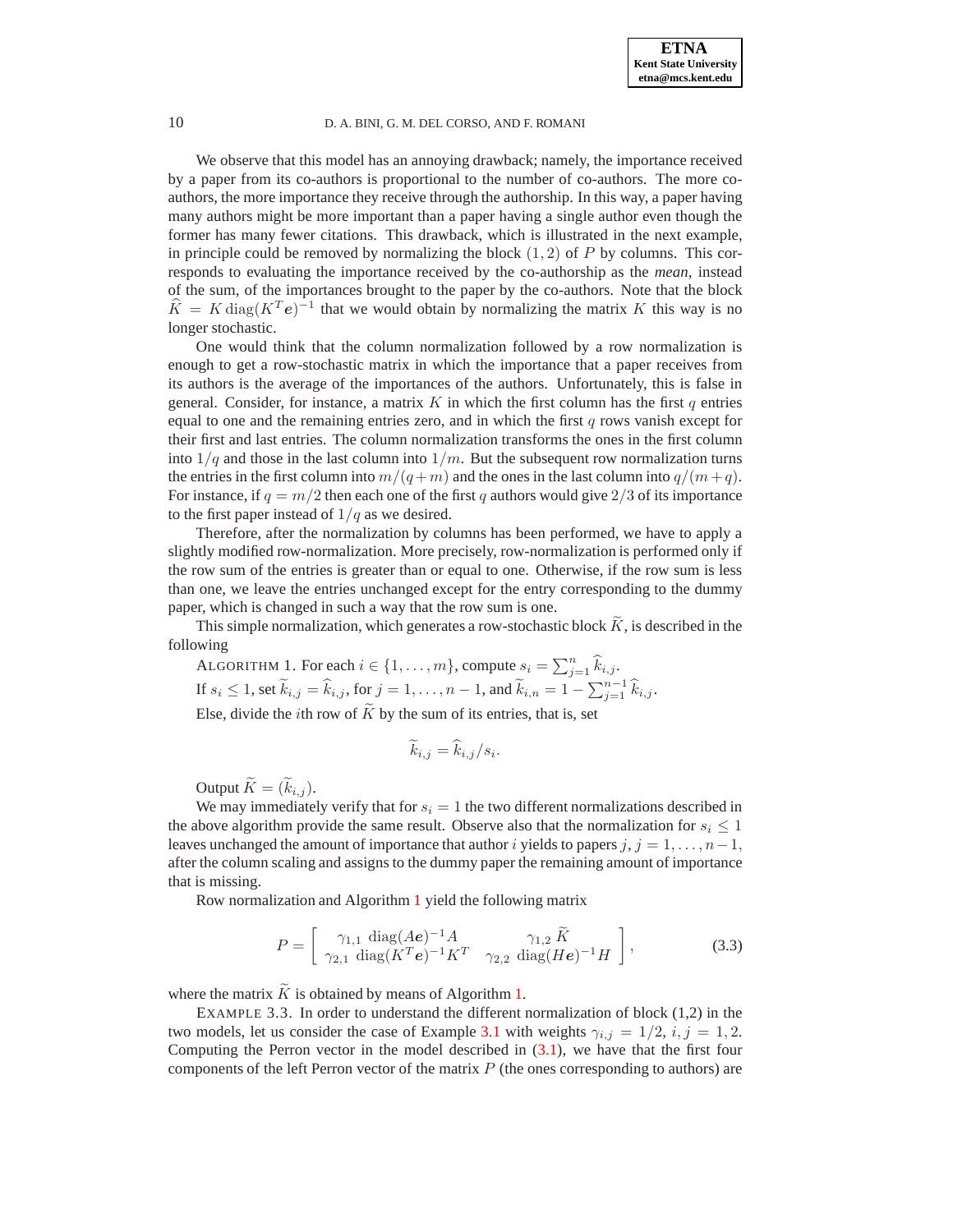We observe that this model has an annoying drawback; namely, the importance received by a paper from its co-authors is proportional to the number of co-authors. The more coauthors, the more importance they receive through the authorship. In this way, a paper having many authors might be more important than a paper having a single author even though the former has many fewer citations. This drawback, which is illustrated in the next example, in principle could be removed by normalizing the block  $(1, 2)$  of P by columns. This corresponds to evaluating the importance received by the co-authorship as the *mean*, instead of the sum, of the importances brought to the paper by the co-authors. Note that the block  $\widehat{K} = K \text{diag}(K^T \mathbf{e})^{-1}$  that we would obtain by normalizing the matrix K this way is no longer stochastic.

One would think that the column normalization followed by a row normalization is enough to get a row-stochastic matrix in which the importance that a paper receives from its authors is the average of the importances of the authors. Unfortunately, this is false in general. Consider, for instance, a matrix  $K$  in which the first column has the first  $q$  entries equal to one and the remaining entries zero, and in which the first q rows vanish except for their first and last entries. The column normalization transforms the ones in the first column into  $1/q$  and those in the last column into  $1/m$ . But the subsequent row normalization turns the entries in the first column into  $m/(q+m)$  and the ones in the last column into  $q/(m+q)$ . For instance, if  $q = m/2$  then each one of the first q authors would give 2/3 of its importance to the first paper instead of  $1/q$  as we desired.

Therefore, after the normalization by columns has been performed, we have to apply a slightly modified row-normalization. More precisely, row-normalization is performed only if the row sum of the entries is greater than or equal to one. Otherwise, if the row sum is less than one, we leave the entries unchanged except for the entry corresponding to the dummy paper, which is changed in such a way that the row sum is one.

<span id="page-9-0"></span>This simple normalization, which generates a row-stochastic block  $\tilde{K}$ , is described in the following

ALGORITHM 1. For each  $i \in \{1, \ldots, m\}$ , compute  $s_i = \sum_{j=1}^n \hat{k}_{i,j}$ . If  $s_i \leq 1$ , set  $\widetilde{k}_{i,j} = \widehat{k}_{i,j}$ , for  $j = 1, \ldots, n-1$ , and  $\widetilde{k}_{i,n} = 1 - \sum_{j=1}^{n-1} \widehat{k}_{i,j}$ . Else, divide the *i*th row of  $\widetilde{K}$  by the sum of its entries, that is, set

$$
\widetilde{k}_{i,j} = \widehat{k}_{i,j}/s_i.
$$

Output  $\widetilde{K} = (\widetilde{k}_{i,j})$ .

We may immediately verify that for  $s_i = 1$  the two different normalizations described in the above algorithm provide the same result. Observe also that the normalization for  $s_i \leq 1$ leaves unchanged the amount of importance that author i yields to papers j,  $j = 1, \ldots, n-1$ , after the column scaling and assigns to the dummy paper the remaining amount of importance that is missing.

<span id="page-9-1"></span>Row normalization and Algorithm [1](#page-9-0) yield the following matrix

$$
P = \begin{bmatrix} \gamma_{1,1} \text{ diag}(Ae)^{-1} A & \gamma_{1,2} \tilde{K} \\ \gamma_{2,1} \text{ diag}(K^T e)^{-1} K^T & \gamma_{2,2} \text{ diag}(He)^{-1} H \end{bmatrix},
$$
(3.3)

where the matrix  $\widetilde{K}$  is obtained by means of Algorithm [1.](#page-9-0)

EXAMPLE 3.3. In order to understand the different normalization of block (1,2) in the two models, let us consider the case of Example [3.1](#page-7-1) with weights  $\gamma_{i,j} = 1/2$ ,  $i, j = 1, 2$ . Computing the Perron vector in the model described in [\(3.1\)](#page-7-0), we have that the first four components of the left Perron vector of the matrix  $P$  (the ones corresponding to authors) are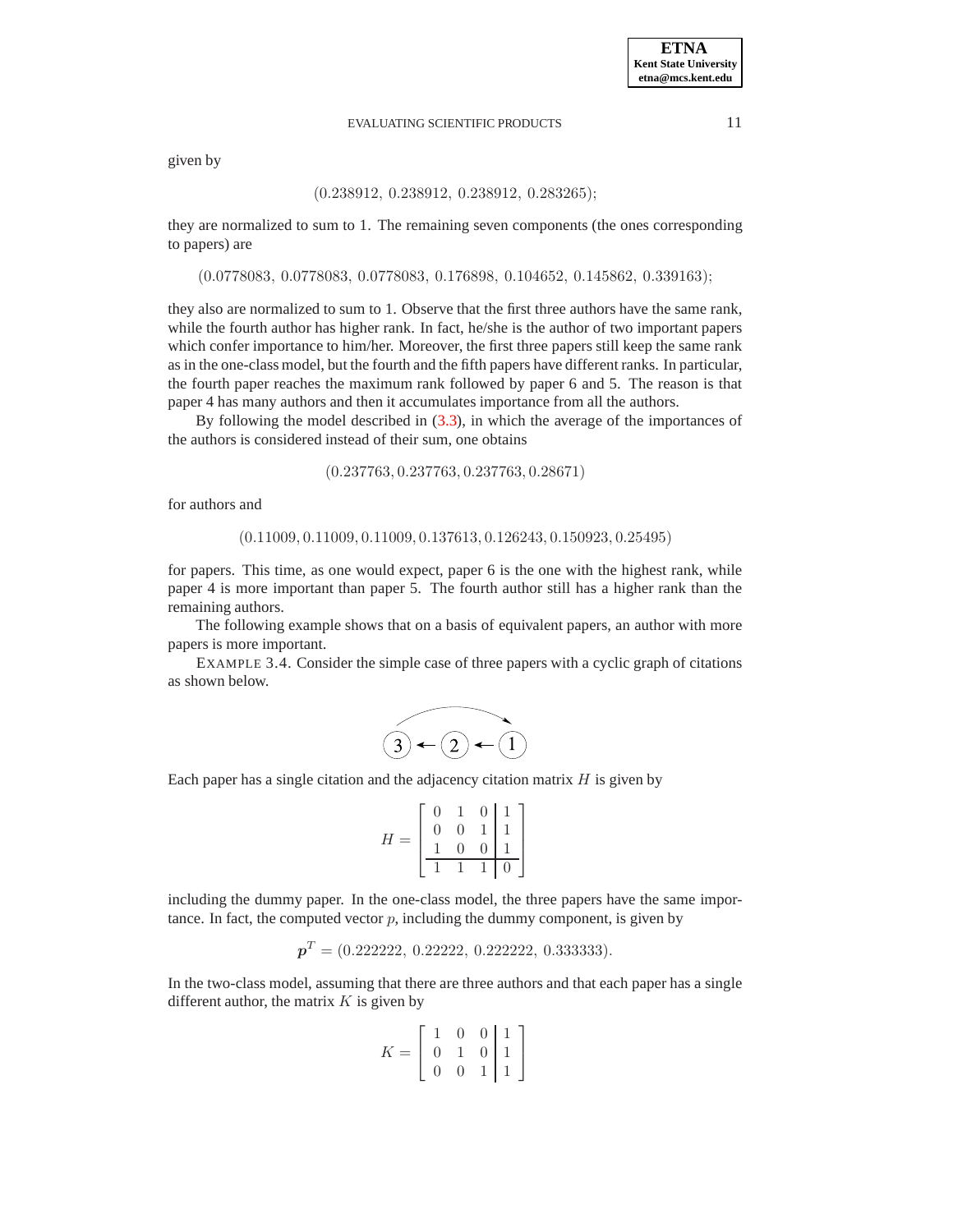given by

## (0.238912, 0.238912, 0.238912, 0.283265);

they are normalized to sum to 1. The remaining seven components (the ones corresponding to papers) are

(0.0778083, 0.0778083, 0.0778083, 0.176898, 0.104652, 0.145862, 0.339163);

they also are normalized to sum to 1. Observe that the first three authors have the same rank, while the fourth author has higher rank. In fact, he/she is the author of two important papers which confer importance to him/her. Moreover, the first three papers still keep the same rank as in the one-class model, but the fourth and the fifth papers have different ranks. In particular, the fourth paper reaches the maximum rank followed by paper 6 and 5. The reason is that paper 4 has many authors and then it accumulates importance from all the authors.

By following the model described in [\(3.3\)](#page-9-1), in which the average of the importances of the authors is considered instead of their sum, one obtains

$$
(0.237763, 0.237763, 0.237763, 0.28671)
$$

for authors and

(0.11009, 0.11009, 0.11009, 0.137613, 0.126243, 0.150923, 0.25495)

for papers. This time, as one would expect, paper 6 is the one with the highest rank, while paper 4 is more important than paper 5. The fourth author still has a higher rank than the remaining authors.

The following example shows that on a basis of equivalent papers, an author with more papers is more important.

EXAMPLE 3.4. Consider the simple case of three papers with a cyclic graph of citations as shown below.

$$
\overset{\frown}{(3)} \leftarrow (2) \leftarrow (1)
$$

Each paper has a single citation and the adjacency citation matrix  $H$  is given by  $\mathbb{R}^2$ 

$$
H = \begin{bmatrix} 0 & 1 & 0 & 1 \\ 0 & 0 & 1 & 1 \\ 1 & 0 & 0 & 1 \\ \hline 1 & 1 & 1 & 0 \end{bmatrix}
$$

including the dummy paper. In the one-class model, the three papers have the same importance. In fact, the computed vector  $p$ , including the dummy component, is given by

$$
\boldsymbol{p}^T = (0.222222, 0.22222, 0.222222, 0.333333).
$$

In the two-class model, assuming that there are three authors and that each paper has a single different author, the matrix  $K$  is given by

$$
K = \left[ \begin{array}{ccc|ccc} 1 & 0 & 0 & 1 \\ 0 & 1 & 0 & 1 \\ 0 & 0 & 1 & 1 \end{array} \right]
$$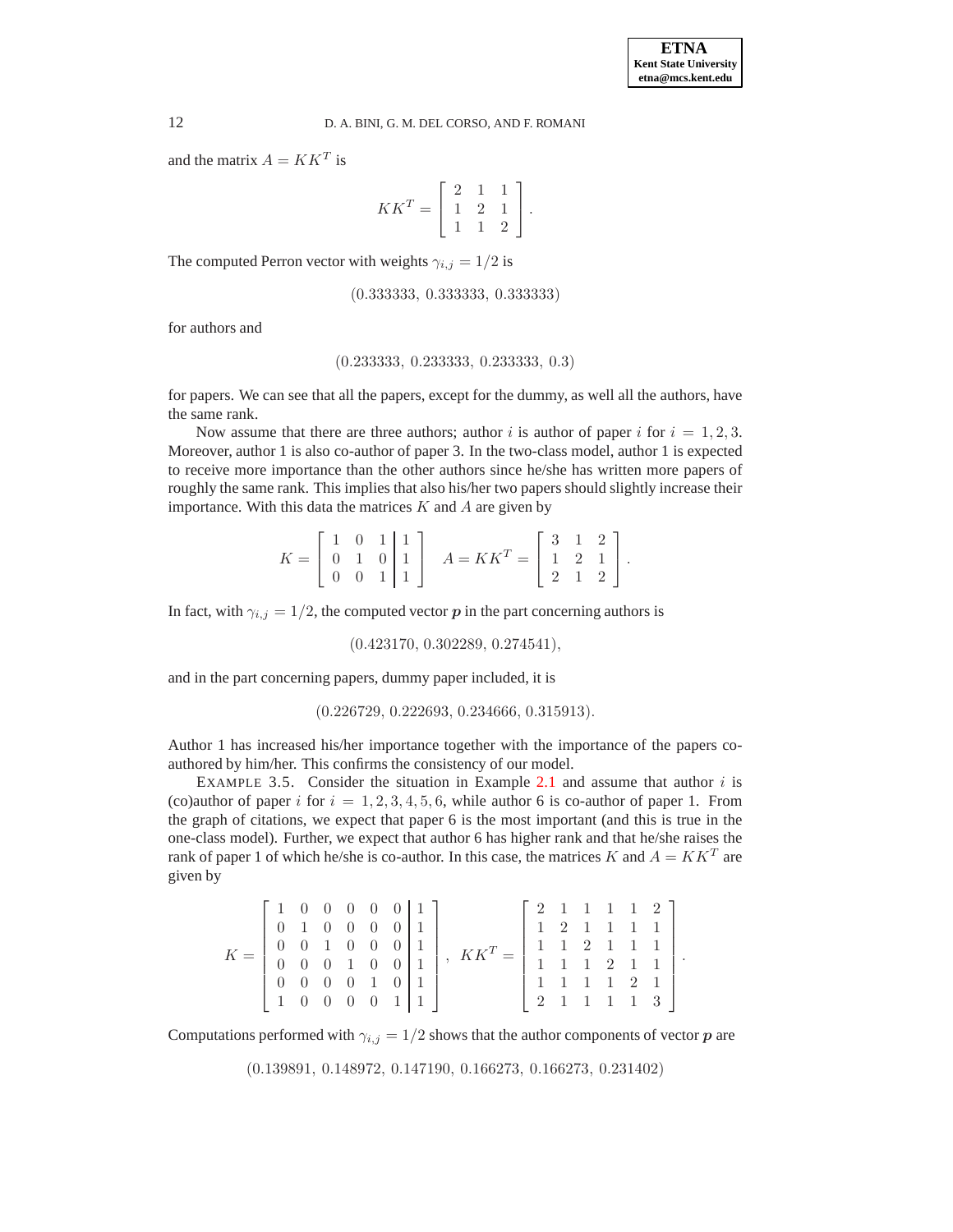and the matrix  $A = K K^T$  is

$$
KK^T = \left[ \begin{array}{ccc} 2 & 1 & 1 \\ 1 & 2 & 1 \\ 1 & 1 & 2 \end{array} \right].
$$

The computed Perron vector with weights  $\gamma_{i,j} = 1/2$  is

(0.333333, 0.333333, 0.333333)

for authors and

## (0.233333, 0.233333, 0.233333, 0.3)

for papers. We can see that all the papers, except for the dummy, as well all the authors, have the same rank.

Now assume that there are three authors; author i is author of paper i for  $i = 1, 2, 3$ . Moreover, author 1 is also co-author of paper 3. In the two-class model, author 1 is expected to receive more importance than the other authors since he/she has written more papers of roughly the same rank. This implies that also his/her two papers should slightly increase their importance. With this data the matrices  $K$  and  $A$  are given by

$$
K = \left[ \begin{array}{ccc|c} 1 & 0 & 1 & 1 \\ 0 & 1 & 0 & 1 \\ 0 & 0 & 1 & 1 \end{array} \right] \quad A = KK^T = \left[ \begin{array}{ccc} 3 & 1 & 2 \\ 1 & 2 & 1 \\ 2 & 1 & 2 \end{array} \right].
$$

In fact, with  $\gamma_{i,j} = 1/2$ , the computed vector p in the part concerning authors is

(0.423170, 0.302289, 0.274541),

and in the part concerning papers, dummy paper included, it is

(0.226729, 0.222693, 0.234666, 0.315913).

Author 1 has increased his/her importance together with the importance of the papers coauthored by him/her. This confirms the consistency of our model.

EXAMPLE 3.5. Consider the situation in Example [2.1](#page-2-1) and assume that author  $i$  is (co)author of paper i for  $i = 1, 2, 3, 4, 5, 6$ , while author 6 is co-author of paper 1. From the graph of citations, we expect that paper 6 is the most important (and this is true in the one-class model). Further, we expect that author 6 has higher rank and that he/she raises the rank of paper 1 of which he/she is co-author. In this case, the matrices K and  $A = K K^T$  are given by

| $K = \left[ \begin{array}{cccccc} 0 & 0 & 1 & 0 & 0 & 0 & 1 \\ 0 & 0 & 0 & 1 & 0 & 0 & 1 \end{array} \right],$ | $\left[\begin{array}{cccc c} 1 & 0 & 0 & 0 & 0 & 0 & 1 \\ 0 & 1 & 0 & 0 & 0 & 0 & 1 \end{array}\right].$<br>$\begin{bmatrix} 0 & 0 & 0 & 0 & 1 & 0 & 1 \end{bmatrix}$<br>1 0 0 0 0 1 1 |  |  |  | $KK^T =$ | $\begin{bmatrix} 2 & 1 & 1 & 1 & 1 & 2 \end{bmatrix}$<br>1 2 1 1 1 1<br>$\left[\begin{array}{rrrrr} 1 & 1 & 2 & 1 & 1 & 1 \\ 1 & 1 & 1 & 2 & 1 & 1 \end{array}\right].$<br>1 1 1 1 2 1<br>1211113 |  |  |  |
|----------------------------------------------------------------------------------------------------------------|----------------------------------------------------------------------------------------------------------------------------------------------------------------------------------------|--|--|--|----------|---------------------------------------------------------------------------------------------------------------------------------------------------------------------------------------------------|--|--|--|
|                                                                                                                |                                                                                                                                                                                        |  |  |  |          |                                                                                                                                                                                                   |  |  |  |

Computations performed with  $\gamma_{i,j} = 1/2$  shows that the author components of vector p are

(0.139891, 0.148972, 0.147190, 0.166273, 0.166273, 0.231402)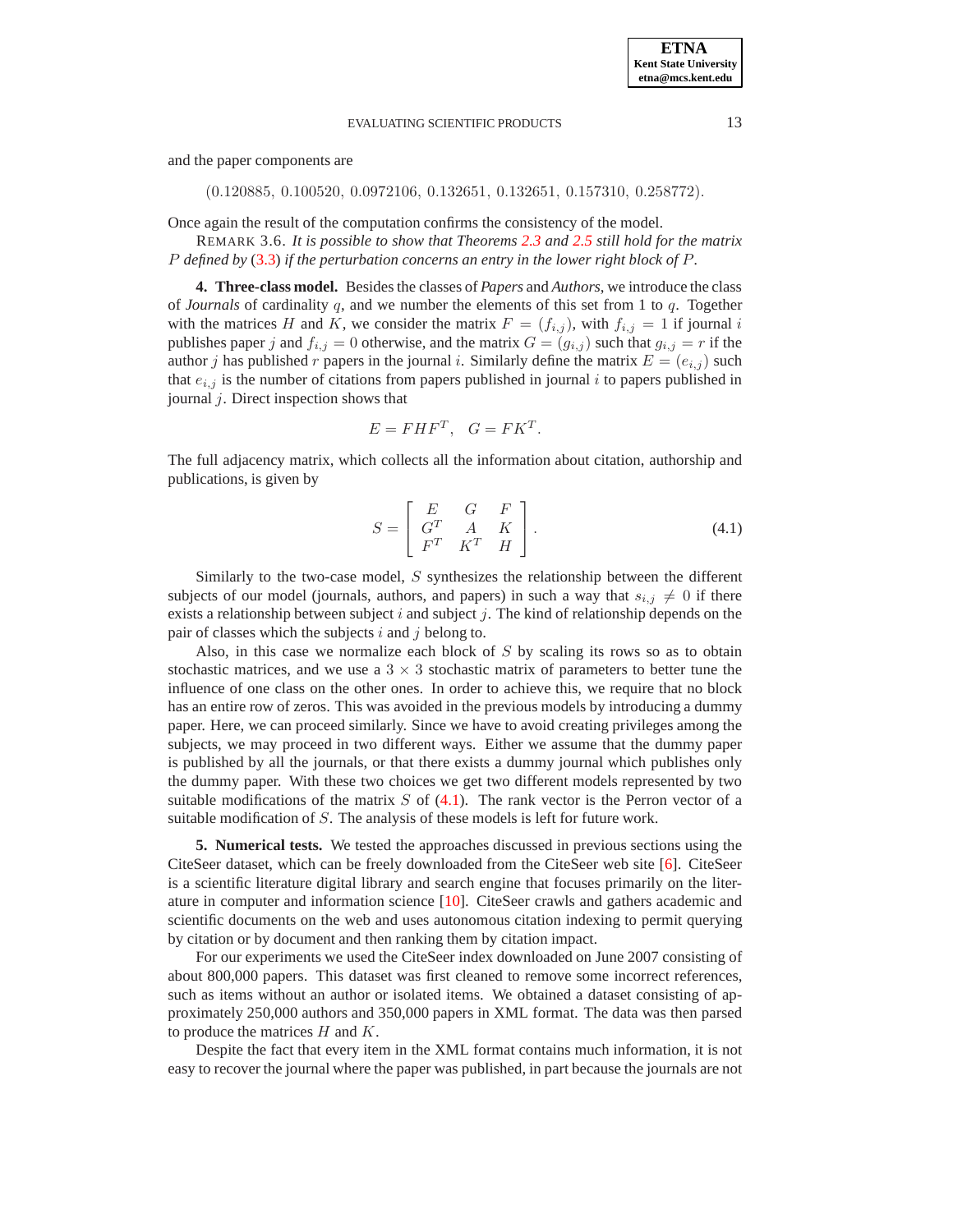and the paper components are

(0.120885, 0.100520, 0.0972106, 0.132651, 0.132651, 0.157310, 0.258772).

Once again the result of the computation confirms the consistency of the model.

REMARK 3.6. *It is possible to show that Theorems [2.3](#page-3-3) and [2.5](#page-5-2) still hold for the matrix* P *defined by* [\(3.3\)](#page-9-1) *if the perturbation concerns an entry in the lower right block of* P*.*

<span id="page-12-0"></span>**4. Three-class model.** Besides the classes of *Papers* and *Authors*, we introduce the class of *Journals* of cardinality q, and we number the elements of this set from 1 to q. Together with the matrices H and K, we consider the matrix  $F = (f_{i,j})$ , with  $f_{i,j} = 1$  if journal i publishes paper j and  $f_{i,j} = 0$  otherwise, and the matrix  $G = (g_{i,j})$  such that  $g_{i,j} = r$  if the author j has published r papers in the journal i. Similarly define the matrix  $E = (e_{i,j})$  such that  $e_{i,j}$  is the number of citations from papers published in journal i to papers published in journal  $j$ . Direct inspection shows that

$$
E = FHF^T, \quad G = FK^T.
$$

<span id="page-12-2"></span>The full adjacency matrix, which collects all the information about citation, authorship and publications, is given by

$$
S = \left[ \begin{array}{ccc} E & G & F \\ G^T & A & K \\ F^T & K^T & H \end{array} \right]. \tag{4.1}
$$

Similarly to the two-case model, S synthesizes the relationship between the different subjects of our model (journals, authors, and papers) in such a way that  $s_{i,j} \neq 0$  if there exists a relationship between subject  $i$  and subject  $j$ . The kind of relationship depends on the pair of classes which the subjects  $i$  and  $j$  belong to.

Also, in this case we normalize each block of  $S$  by scaling its rows so as to obtain stochastic matrices, and we use a  $3 \times 3$  stochastic matrix of parameters to better tune the influence of one class on the other ones. In order to achieve this, we require that no block has an entire row of zeros. This was avoided in the previous models by introducing a dummy paper. Here, we can proceed similarly. Since we have to avoid creating privileges among the subjects, we may proceed in two different ways. Either we assume that the dummy paper is published by all the journals, or that there exists a dummy journal which publishes only the dummy paper. With these two choices we get two different models represented by two suitable modifications of the matrix  $S$  of  $(4.1)$ . The rank vector is the Perron vector of a suitable modification of S. The analysis of these models is left for future work.

<span id="page-12-1"></span>**5. Numerical tests.** We tested the approaches discussed in previous sections using the CiteSeer dataset, which can be freely downloaded from the CiteSeer web site [\[6\]](#page-15-11). CiteSeer is a scientific literature digital library and search engine that focuses primarily on the literature in computer and information science [\[10\]](#page-15-16). CiteSeer crawls and gathers academic and scientific documents on the web and uses autonomous citation indexing to permit querying by citation or by document and then ranking them by citation impact.

For our experiments we used the CiteSeer index downloaded on June 2007 consisting of about 800,000 papers. This dataset was first cleaned to remove some incorrect references, such as items without an author or isolated items. We obtained a dataset consisting of approximately 250,000 authors and 350,000 papers in XML format. The data was then parsed to produce the matrices  $H$  and  $K$ .

Despite the fact that every item in the XML format contains much information, it is not easy to recover the journal where the paper was published, in part because the journals are not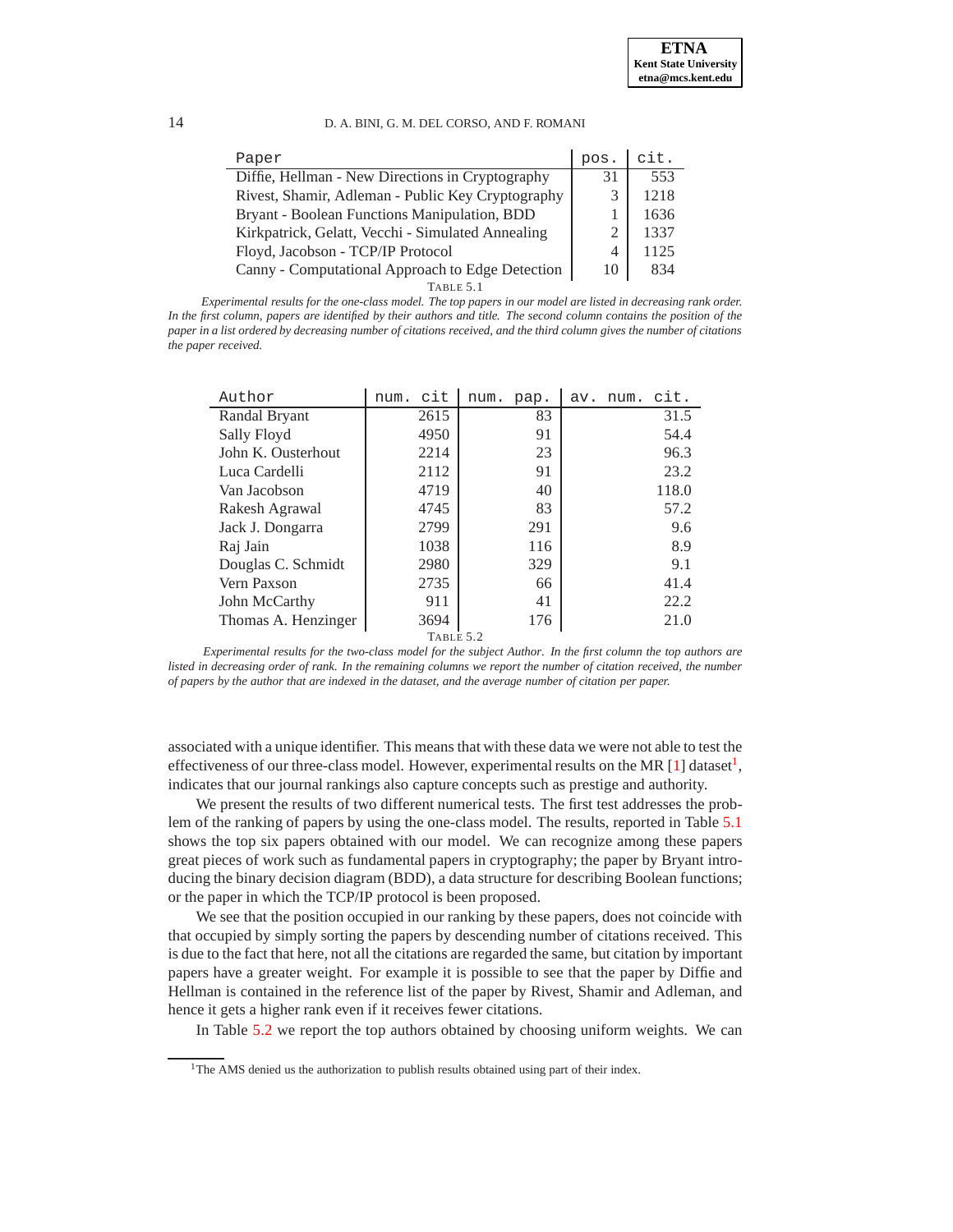| Paper                                             | pos. | cit. |
|---------------------------------------------------|------|------|
| Diffie, Hellman - New Directions in Cryptography  | 31   | 553  |
| Rivest, Shamir, Adleman - Public Key Cryptography |      | 1218 |
| Bryant - Boolean Functions Manipulation, BDD      |      | 1636 |
| Kirkpatrick, Gelatt, Vecchi - Simulated Annealing |      | 1337 |
| Floyd, Jacobson - TCP/IP Protocol                 | Δ    | 1125 |
| Canny - Computational Approach to Edge Detection  | 10   | 834  |
| TABLE 5.1                                         |      |      |

<span id="page-13-1"></span>*Experimental results for the one-class model. The top papers in our model are listed in decreasing rank order. In the first column, papers are identified by their authors and title. The second column contains the position of the paper in a list ordered by decreasing number of citations received, and the third column gives the number of citations the paper received.*

| Author              | cit<br>num. | num.<br>pap. | cit.<br>num.<br>av. |  |  |  |  |
|---------------------|-------------|--------------|---------------------|--|--|--|--|
| Randal Bryant       | 2615        | 83           | 31.5                |  |  |  |  |
| Sally Floyd         | 4950        | 91           | 54.4                |  |  |  |  |
| John K. Ousterhout  | 2214        | 23           | 96.3                |  |  |  |  |
| Luca Cardelli       | 2112        | 91           | 23.2                |  |  |  |  |
| Van Jacobson        | 4719        | 40           | 118.0               |  |  |  |  |
| Rakesh Agrawal      | 4745        | 83           | 57.2                |  |  |  |  |
| Jack J. Dongarra    | 2799        | 291          | 9.6                 |  |  |  |  |
| Raj Jain            | 1038        | 116          | 8.9                 |  |  |  |  |
| Douglas C. Schmidt  | 2980        | 329          | 9.1                 |  |  |  |  |
| Vern Paxson         | 2735        | 66           | 41.4                |  |  |  |  |
| John McCarthy       | 911         | 41           | 22.2                |  |  |  |  |
| Thomas A. Henzinger | 3694        | 176          | 21.0                |  |  |  |  |
| TABLE 5.2           |             |              |                     |  |  |  |  |

<span id="page-13-2"></span>*Experimental results for the two-class model for the subject Author. In the first column the top authors are listed in decreasing order of rank. In the remaining columns we report the number of citation received, the number of papers by the author that are indexed in the dataset, and the average number of citation per paper.*

associated with a unique identifier. This means that with these data we were not able to test the effectiveness of our three-class model. However, experimental results on the MR [\[1\]](#page-15-17) dataset<sup>[1](#page-13-0)</sup>, indicates that our journal rankings also capture concepts such as prestige and authority.

We present the results of two different numerical tests. The first test addresses the problem of the ranking of papers by using the one-class model. The results, reported in Table [5.1](#page-13-1) shows the top six papers obtained with our model. We can recognize among these papers great pieces of work such as fundamental papers in cryptography; the paper by Bryant introducing the binary decision diagram (BDD), a data structure for describing Boolean functions; or the paper in which the TCP/IP protocol is been proposed.

We see that the position occupied in our ranking by these papers, does not coincide with that occupied by simply sorting the papers by descending number of citations received. This is due to the fact that here, not all the citations are regarded the same, but citation by important papers have a greater weight. For example it is possible to see that the paper by Diffie and Hellman is contained in the reference list of the paper by Rivest, Shamir and Adleman, and hence it gets a higher rank even if it receives fewer citations.

In Table [5.2](#page-13-2) we report the top authors obtained by choosing uniform weights. We can

<span id="page-13-0"></span><sup>&</sup>lt;sup>1</sup>The AMS denied us the authorization to publish results obtained using part of their index.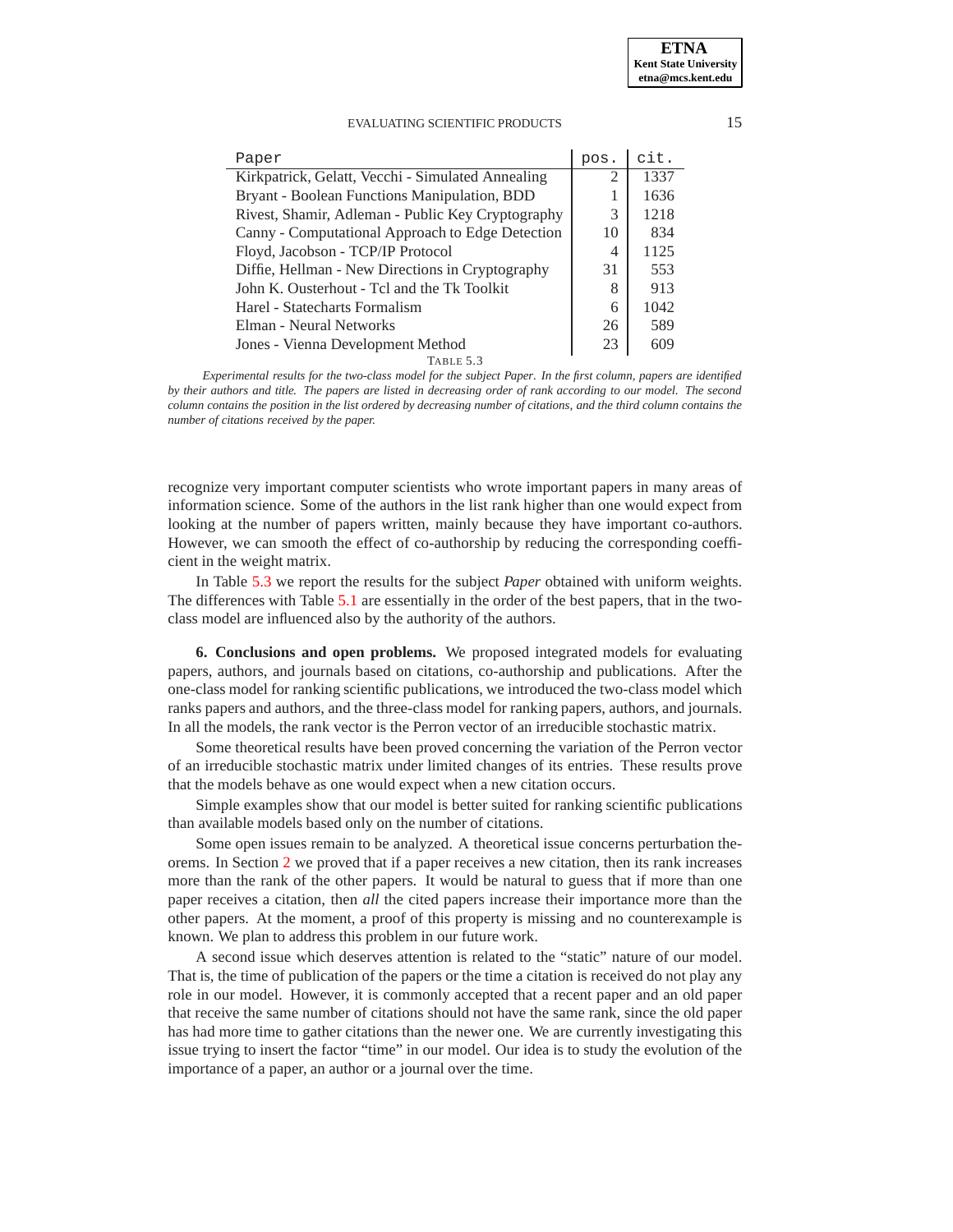| Paper                                             | pos.                        | cit. |
|---------------------------------------------------|-----------------------------|------|
| Kirkpatrick, Gelatt, Vecchi - Simulated Annealing | $\mathcal{D}_{\mathcal{L}}$ | 1337 |
| Bryant - Boolean Functions Manipulation, BDD      |                             | 1636 |
| Rivest, Shamir, Adleman - Public Key Cryptography | 3                           | 1218 |
| Canny - Computational Approach to Edge Detection  | 10                          | 834  |
| Floyd, Jacobson - TCP/IP Protocol                 | 4                           | 1125 |
| Diffie, Hellman - New Directions in Cryptography  | 31                          | 553  |
| John K. Ousterhout - Tcl and the Tk Toolkit       |                             | 913  |
| Harel - Statecharts Formalism                     | 6                           | 1042 |
| Elman - Neural Networks                           | 26                          | 589  |
| Jones - Vienna Development Method                 | 23                          | 609  |
| TABLE 5.3                                         |                             |      |

<span id="page-14-1"></span>*Experimental results for the two-class model for the subject Paper. In the first column, papers are identified by their authors and title. The papers are listed in decreasing order of rank according to our model. The second column contains the position in the list ordered by decreasing number of citations, and the third column contains the number of citations received by the paper.*

recognize very important computer scientists who wrote important papers in many areas of information science. Some of the authors in the list rank higher than one would expect from looking at the number of papers written, mainly because they have important co-authors. However, we can smooth the effect of co-authorship by reducing the corresponding coefficient in the weight matrix.

In Table [5.3](#page-14-1) we report the results for the subject *Paper* obtained with uniform weights. The differences with Table [5.1](#page-13-1) are essentially in the order of the best papers, that in the twoclass model are influenced also by the authority of the authors.

<span id="page-14-0"></span>**6. Conclusions and open problems.** We proposed integrated models for evaluating papers, authors, and journals based on citations, co-authorship and publications. After the one-class model for ranking scientific publications, we introduced the two-class model which ranks papers and authors, and the three-class model for ranking papers, authors, and journals. In all the models, the rank vector is the Perron vector of an irreducible stochastic matrix.

Some theoretical results have been proved concerning the variation of the Perron vector of an irreducible stochastic matrix under limited changes of its entries. These results prove that the models behave as one would expect when a new citation occurs.

Simple examples show that our model is better suited for ranking scientific publications than available models based only on the number of citations.

Some open issues remain to be analyzed. A theoretical issue concerns perturbation theorems. In Section [2](#page-1-0) we proved that if a paper receives a new citation, then its rank increases more than the rank of the other papers. It would be natural to guess that if more than one paper receives a citation, then *all* the cited papers increase their importance more than the other papers. At the moment, a proof of this property is missing and no counterexample is known. We plan to address this problem in our future work.

A second issue which deserves attention is related to the "static" nature of our model. That is, the time of publication of the papers or the time a citation is received do not play any role in our model. However, it is commonly accepted that a recent paper and an old paper that receive the same number of citations should not have the same rank, since the old paper has had more time to gather citations than the newer one. We are currently investigating this issue trying to insert the factor "time" in our model. Our idea is to study the evolution of the importance of a paper, an author or a journal over the time.